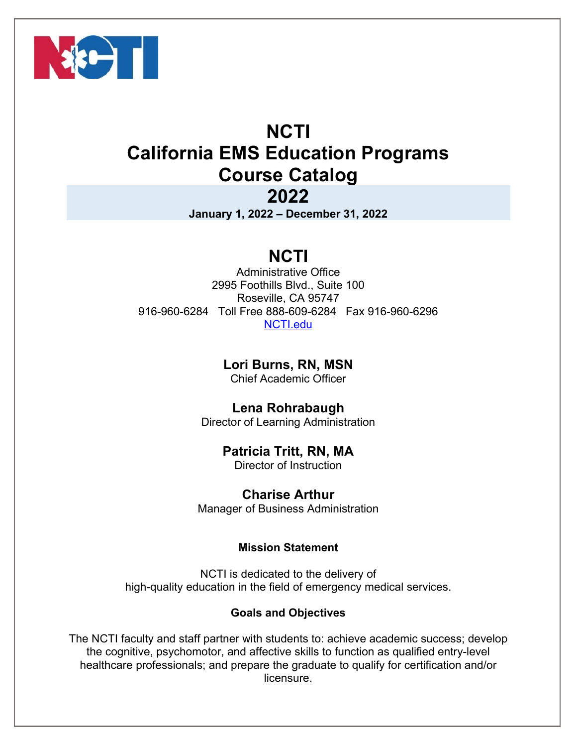

# **NCTI California EMS Education Programs Course Catalog**

## **2022**

**January 1, 2022 – December 31, 2022** 

## **NCTI**

Administrative Office 2995 Foothills Blvd., Suite 100 Roseville, CA 95747 916-960-6284 Toll Free 888-609-6284 Fax 916-960-6296 NCTI.edu

**Lori Burns, RN, MSN** 

Chief Academic Officer

**Lena Rohrabaugh** 

Director of Learning Administration

## **Patricia Tritt, RN, MA**

Director of Instruction

**Charise Arthur** 

Manager of Business Administration

## **Mission Statement**

NCTI is dedicated to the delivery of high-quality education in the field of emergency medical services.

## **Goals and Objectives**

The NCTI faculty and staff partner with students to: achieve academic success; develop the cognitive, psychomotor, and affective skills to function as qualified entry-level healthcare professionals; and prepare the graduate to qualify for certification and/or licensure.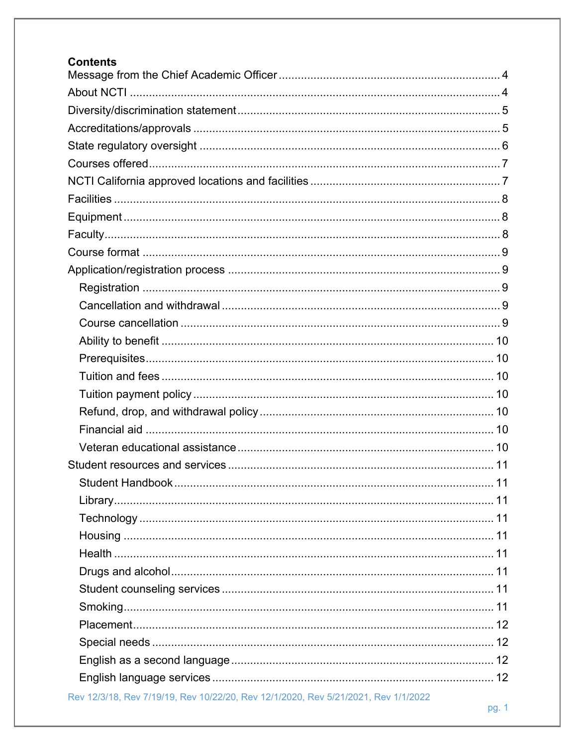| <b>Contents</b>                                                                    |
|------------------------------------------------------------------------------------|
|                                                                                    |
|                                                                                    |
|                                                                                    |
|                                                                                    |
|                                                                                    |
|                                                                                    |
|                                                                                    |
|                                                                                    |
|                                                                                    |
|                                                                                    |
|                                                                                    |
|                                                                                    |
|                                                                                    |
|                                                                                    |
|                                                                                    |
|                                                                                    |
|                                                                                    |
|                                                                                    |
|                                                                                    |
|                                                                                    |
|                                                                                    |
|                                                                                    |
|                                                                                    |
|                                                                                    |
|                                                                                    |
|                                                                                    |
|                                                                                    |
|                                                                                    |
|                                                                                    |
|                                                                                    |
|                                                                                    |
|                                                                                    |
|                                                                                    |
|                                                                                    |
| Rev 12/3/18, Rev 7/19/19, Rev 10/22/20, Rev 12/1/2020, Rev 5/21/2021, Rev 1/1/2022 |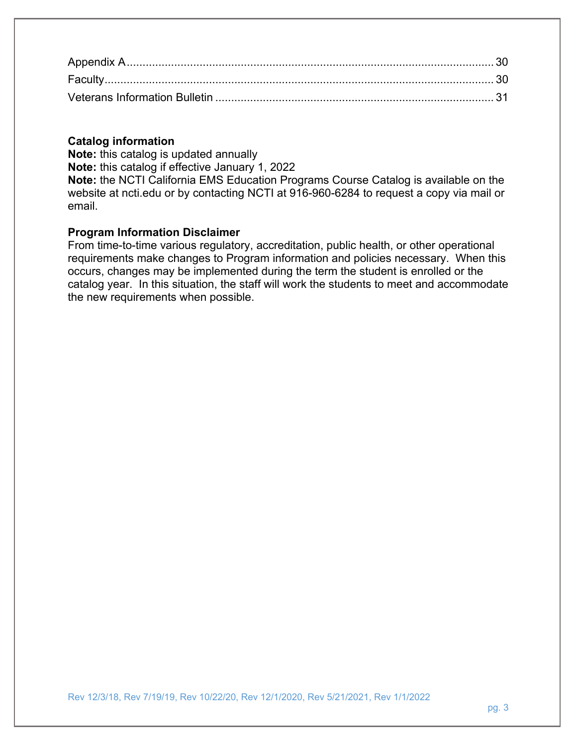#### **Catalog information**

**Note:** this catalog is updated annually

**Note:** this catalog if effective January 1, 2022

**Note:** the NCTI California EMS Education Programs Course Catalog is available on the website at ncti.edu or by contacting NCTI at 916-960-6284 to request a copy via mail or email.

#### **Program Information Disclaimer**

From time-to-time various regulatory, accreditation, public health, or other operational requirements make changes to Program information and policies necessary. When this occurs, changes may be implemented during the term the student is enrolled or the catalog year. In this situation, the staff will work the students to meet and accommodate the new requirements when possible.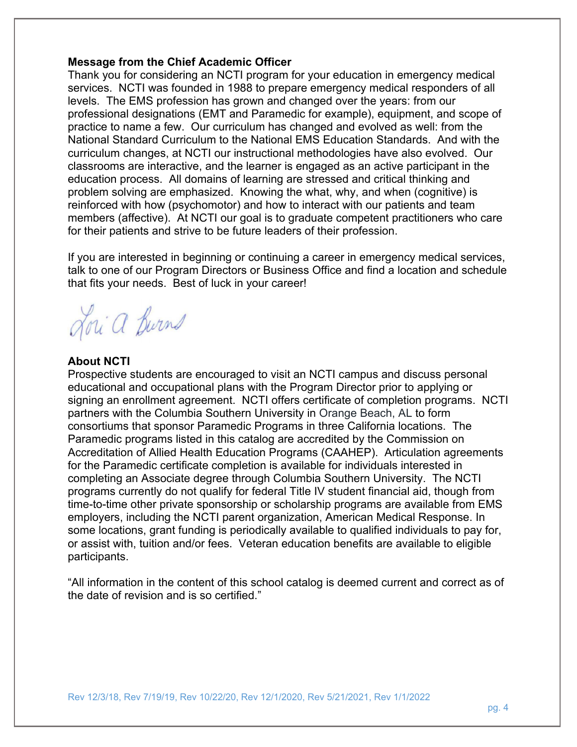#### **Message from the Chief Academic Officer**

Thank you for considering an NCTI program for your education in emergency medical services. NCTI was founded in 1988 to prepare emergency medical responders of all levels. The EMS profession has grown and changed over the years: from our professional designations (EMT and Paramedic for example), equipment, and scope of practice to name a few. Our curriculum has changed and evolved as well: from the National Standard Curriculum to the National EMS Education Standards. And with the curriculum changes, at NCTI our instructional methodologies have also evolved. Our classrooms are interactive, and the learner is engaged as an active participant in the education process. All domains of learning are stressed and critical thinking and problem solving are emphasized. Knowing the what, why, and when (cognitive) is reinforced with how (psychomotor) and how to interact with our patients and team members (affective). At NCTI our goal is to graduate competent practitioners who care for their patients and strive to be future leaders of their profession.

If you are interested in beginning or continuing a career in emergency medical services, talk to one of our Program Directors or Business Office and find a location and schedule that fits your needs. Best of luck in your career!

Lori a Burns

#### **About NCTI**

Prospective students are encouraged to visit an NCTI campus and discuss personal educational and occupational plans with the Program Director prior to applying or signing an enrollment agreement. NCTI offers certificate of completion programs. NCTI partners with the Columbia Southern University in Orange Beach, AL to form consortiums that sponsor Paramedic Programs in three California locations. The Paramedic programs listed in this catalog are accredited by the Commission on Accreditation of Allied Health Education Programs (CAAHEP). Articulation agreements for the Paramedic certificate completion is available for individuals interested in completing an Associate degree through Columbia Southern University. The NCTI programs currently do not qualify for federal Title IV student financial aid, though from time-to-time other private sponsorship or scholarship programs are available from EMS employers, including the NCTI parent organization, American Medical Response. In some locations, grant funding is periodically available to qualified individuals to pay for, or assist with, tuition and/or fees. Veteran education benefits are available to eligible participants.

"All information in the content of this school catalog is deemed current and correct as of the date of revision and is so certified."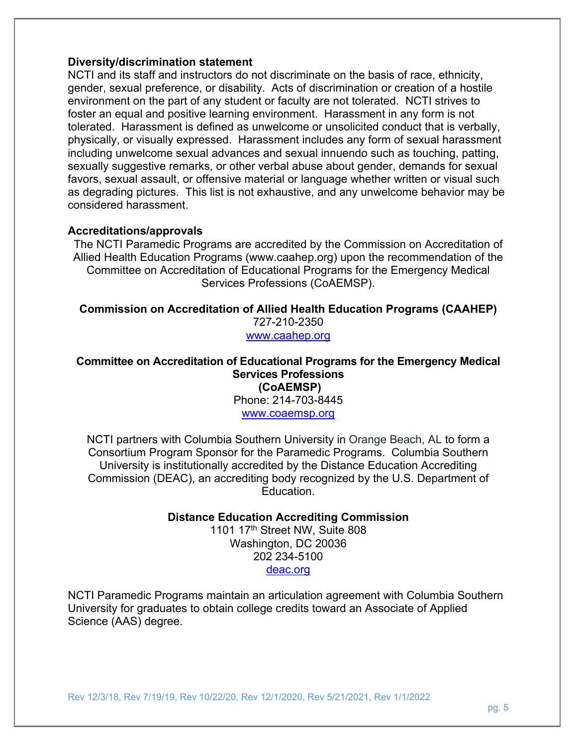#### **Diversity/discrimination statement**

NCTI and its staff and instructors do not discriminate on the basis of race, ethnicity, gender, sexual preference, or disability. Acts of discrimination or creation of a hostile environment on the part of any student or faculty are not tolerated. NCTI strives to foster an equal and positive learning environment. Harassment in any form is not tolerated. Harassment is defined as unwelcome or unsolicited conduct that is verbally, physically, or visually expressed. Harassment includes any form of sexual harassment including unwelcome sexual advances and sexual innuendo such as touching, patting, sexually suggestive remarks, or other verbal abuse about gender, demands for sexual favors, sexual assault, or offensive material or language whether written or visual such as degrading pictures. This list is not exhaustive, and any unwelcome behavior may be considered harassment.

#### **Accreditations/approvals**

The NCTI Paramedic Programs are accredited by the Commission on Accreditation of Allied Health Education Programs (www.caahep.org) upon the recommendation of the Committee on Accreditation of Educational Programs for the Emergency Medical Services Professions (CoAEMSP).

**Commission on Accreditation of Allied Health Education Programs (CAAHEP)** 727-210-2350 www.caahep.org

#### **Committee on Accreditation of Educational Programs for the Emergency Medical Services Professions (CoAEMSP)**  Phone: 214-703-8445

www.coaemsp.org

NCTI partners with Columbia Southern University in Orange Beach, AL to form a Consortium Program Sponsor for the Paramedic Programs. Columbia Southern University is institutionally accredited by the Distance Education Accrediting Commission (DEAC), an accrediting body recognized by the U.S. Department of Education.

**Distance Education Accrediting Commission** 

1101 17<sup>th</sup> Street NW, Suite 808 Washington, DC 20036 202 234-5100 deac.org

NCTI Paramedic Programs maintain an articulation agreement with Columbia Southern University for graduates to obtain college credits toward an Associate of Applied Science (AAS) degree.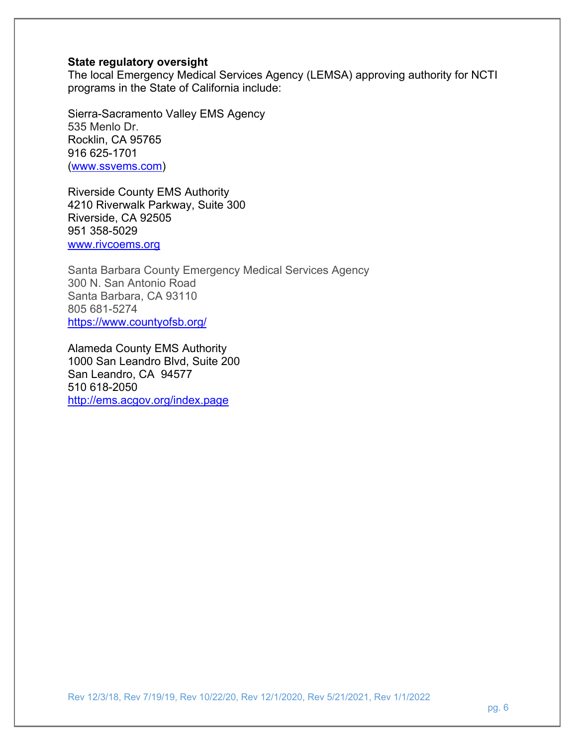#### **State regulatory oversight**

The local Emergency Medical Services Agency (LEMSA) approving authority for NCTI programs in the State of California include:

Sierra-Sacramento Valley EMS Agency 535 Menlo Dr. Rocklin, CA 95765 916 625-1701 (www.ssvems.com)

Riverside County EMS Authority 4210 Riverwalk Parkway, Suite 300 Riverside, CA 92505 951 358-5029 www.rivcoems.org

Santa Barbara County Emergency Medical Services Agency 300 N. San Antonio Road Santa Barbara, CA 93110 805 681-5274 https://www.countyofsb.org/

Alameda County EMS Authority 1000 San Leandro Blvd, Suite 200 San Leandro, CA 94577 510 618-2050 http://ems.acgov.org/index.page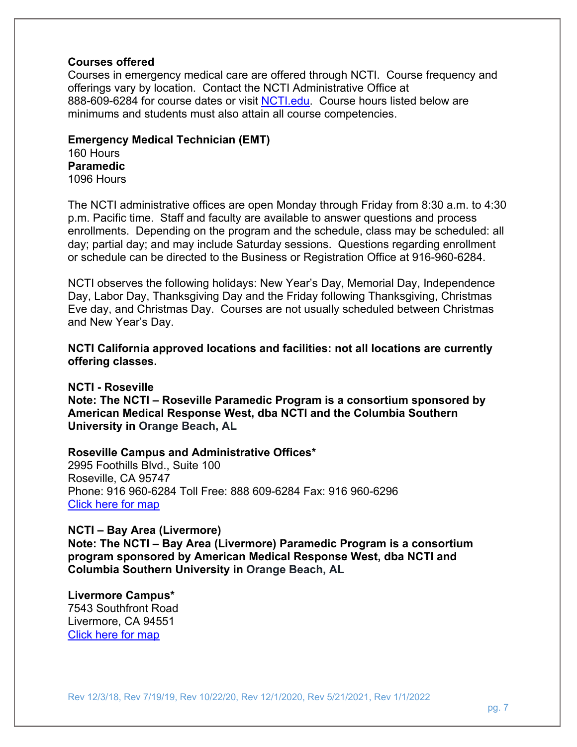#### **Courses offered**

Courses in emergency medical care are offered through NCTI. Course frequency and offerings vary by location. Contact the NCTI Administrative Office at 888-609-6284 for course dates or visit NCTI.edu. Course hours listed below are minimums and students must also attain all course competencies.

**Emergency Medical Technician (EMT)**  160 Hours **Paramedic**  1096 Hours

The NCTI administrative offices are open Monday through Friday from 8:30 a.m. to 4:30 p.m. Pacific time. Staff and faculty are available to answer questions and process enrollments. Depending on the program and the schedule, class may be scheduled: all day; partial day; and may include Saturday sessions. Questions regarding enrollment or schedule can be directed to the Business or Registration Office at 916-960-6284.

NCTI observes the following holidays: New Year's Day, Memorial Day, Independence Day, Labor Day, Thanksgiving Day and the Friday following Thanksgiving, Christmas Eve day, and Christmas Day. Courses are not usually scheduled between Christmas and New Year's Day.

**NCTI California approved locations and facilities: not all locations are currently offering classes.** 

**NCTI - Roseville** 

**Note: The NCTI – Roseville Paramedic Program is a consortium sponsored by American Medical Response West, dba NCTI and the Columbia Southern University in Orange Beach, AL**

**Roseville Campus and Administrative Offices\*** 

2995 Foothills Blvd., Suite 100 Roseville, CA 95747 Phone: 916 960-6284 Toll Free: 888 609-6284 Fax: 916 960-6296 Click here for map

**NCTI – Bay Area (Livermore)** 

**Note: The NCTI – Bay Area (Livermore) Paramedic Program is a consortium program sponsored by American Medical Response West, dba NCTI and Columbia Southern University in Orange Beach, AL**

**Livermore Campus\*** 

7543 Southfront Road Livermore, CA 94551 Click here for map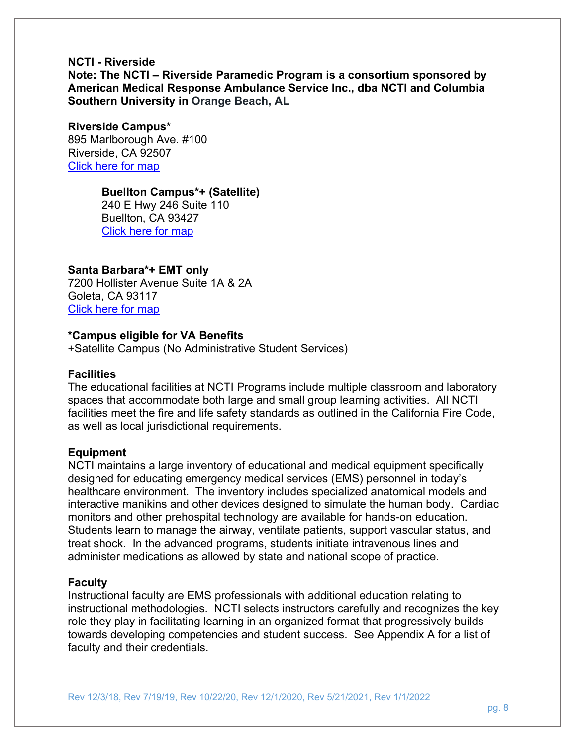#### **NCTI - Riverside**

**Note: The NCTI – Riverside Paramedic Program is a consortium sponsored by American Medical Response Ambulance Service Inc., dba NCTI and Columbia Southern University in Orange Beach, AL**

#### **Riverside Campus\***

895 Marlborough Ave. #100 Riverside, CA 92507 Click here for map

#### **Buellton Campus\*+ (Satellite)**

240 E Hwy 246 Suite 110 Buellton, CA 93427 Click here for map

#### **Santa Barbara\*+ EMT only**

7200 Hollister Avenue Suite 1A & 2A Goleta, CA 93117 Click here for map

#### **\*Campus eligible for VA Benefits**

+Satellite Campus (No Administrative Student Services)

#### **Facilities**

The educational facilities at NCTI Programs include multiple classroom and laboratory spaces that accommodate both large and small group learning activities. All NCTI facilities meet the fire and life safety standards as outlined in the California Fire Code, as well as local jurisdictional requirements.

#### **Equipment**

NCTI maintains a large inventory of educational and medical equipment specifically designed for educating emergency medical services (EMS) personnel in today's healthcare environment. The inventory includes specialized anatomical models and interactive manikins and other devices designed to simulate the human body. Cardiac monitors and other prehospital technology are available for hands-on education. Students learn to manage the airway, ventilate patients, support vascular status, and treat shock. In the advanced programs, students initiate intravenous lines and administer medications as allowed by state and national scope of practice.

#### **Faculty**

Instructional faculty are EMS professionals with additional education relating to instructional methodologies. NCTI selects instructors carefully and recognizes the key role they play in facilitating learning in an organized format that progressively builds towards developing competencies and student success. See Appendix A for a list of faculty and their credentials.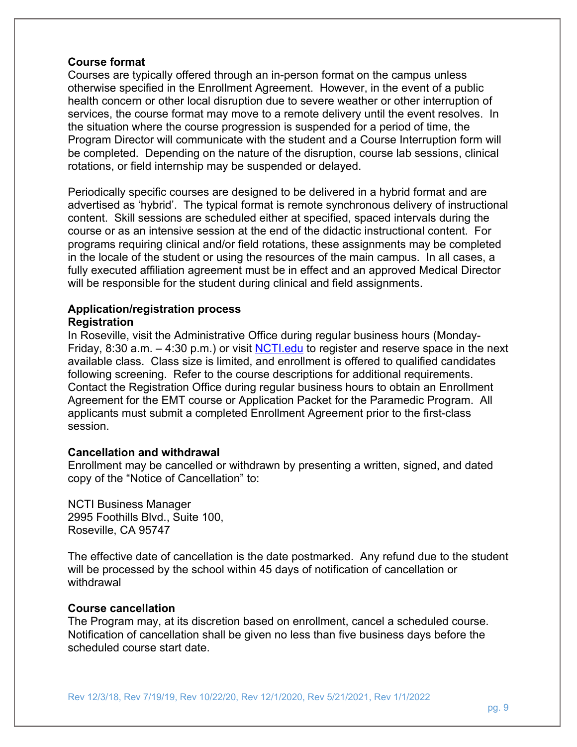#### **Course format**

Courses are typically offered through an in-person format on the campus unless otherwise specified in the Enrollment Agreement. However, in the event of a public health concern or other local disruption due to severe weather or other interruption of services, the course format may move to a remote delivery until the event resolves. In the situation where the course progression is suspended for a period of time, the Program Director will communicate with the student and a Course Interruption form will be completed. Depending on the nature of the disruption, course lab sessions, clinical rotations, or field internship may be suspended or delayed.

Periodically specific courses are designed to be delivered in a hybrid format and are advertised as 'hybrid'. The typical format is remote synchronous delivery of instructional content. Skill sessions are scheduled either at specified, spaced intervals during the course or as an intensive session at the end of the didactic instructional content. For programs requiring clinical and/or field rotations, these assignments may be completed in the locale of the student or using the resources of the main campus. In all cases, a fully executed affiliation agreement must be in effect and an approved Medical Director will be responsible for the student during clinical and field assignments.

#### **Application/registration process Registration**

In Roseville, visit the Administrative Office during regular business hours (Monday-Friday, 8:30 a.m.  $-$  4:30 p.m.) or visit NCTI.edu to register and reserve space in the next available class. Class size is limited, and enrollment is offered to qualified candidates following screening. Refer to the course descriptions for additional requirements. Contact the Registration Office during regular business hours to obtain an Enrollment Agreement for the EMT course or Application Packet for the Paramedic Program. All applicants must submit a completed Enrollment Agreement prior to the first-class session.

#### **Cancellation and withdrawal**

Enrollment may be cancelled or withdrawn by presenting a written, signed, and dated copy of the "Notice of Cancellation" to:

NCTI Business Manager 2995 Foothills Blvd., Suite 100, Roseville, CA 95747

The effective date of cancellation is the date postmarked. Any refund due to the student will be processed by the school within 45 days of notification of cancellation or withdrawal

#### **Course cancellation**

The Program may, at its discretion based on enrollment, cancel a scheduled course. Notification of cancellation shall be given no less than five business days before the scheduled course start date.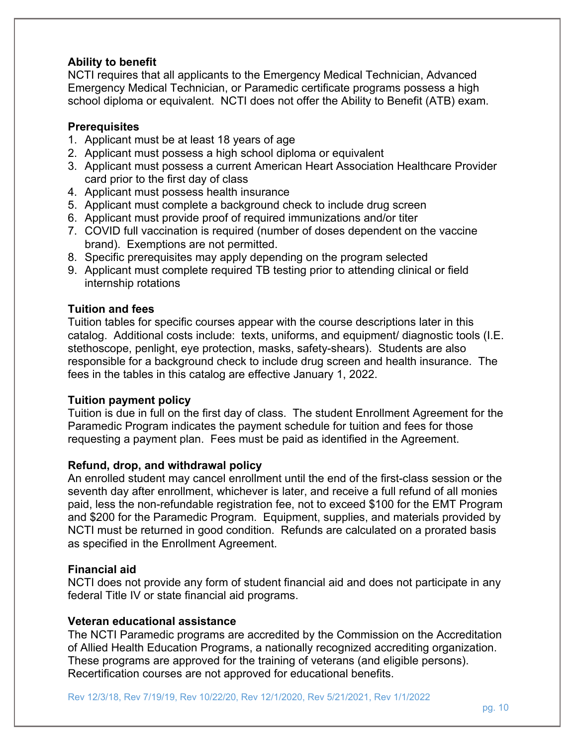#### **Ability to benefit**

NCTI requires that all applicants to the Emergency Medical Technician, Advanced Emergency Medical Technician, or Paramedic certificate programs possess a high school diploma or equivalent. NCTI does not offer the Ability to Benefit (ATB) exam.

#### **Prerequisites**

- 1. Applicant must be at least 18 years of age
- 2. Applicant must possess a high school diploma or equivalent
- 3. Applicant must possess a current American Heart Association Healthcare Provider card prior to the first day of class
- 4. Applicant must possess health insurance
- 5. Applicant must complete a background check to include drug screen
- 6. Applicant must provide proof of required immunizations and/or titer
- 7. COVID full vaccination is required (number of doses dependent on the vaccine brand). Exemptions are not permitted.
- 8. Specific prerequisites may apply depending on the program selected
- 9. Applicant must complete required TB testing prior to attending clinical or field internship rotations

## **Tuition and fees**

Tuition tables for specific courses appear with the course descriptions later in this catalog. Additional costs include: texts, uniforms, and equipment/ diagnostic tools (I.E. stethoscope, penlight, eye protection, masks, safety-shears). Students are also responsible for a background check to include drug screen and health insurance. The fees in the tables in this catalog are effective January 1, 2022.

#### **Tuition payment policy**

Tuition is due in full on the first day of class. The student Enrollment Agreement for the Paramedic Program indicates the payment schedule for tuition and fees for those requesting a payment plan. Fees must be paid as identified in the Agreement.

#### **Refund, drop, and withdrawal policy**

An enrolled student may cancel enrollment until the end of the first-class session or the seventh day after enrollment, whichever is later, and receive a full refund of all monies paid, less the non-refundable registration fee, not to exceed \$100 for the EMT Program and \$200 for the Paramedic Program. Equipment, supplies, and materials provided by NCTI must be returned in good condition. Refunds are calculated on a prorated basis as specified in the Enrollment Agreement.

#### **Financial aid**

NCTI does not provide any form of student financial aid and does not participate in any federal Title IV or state financial aid programs.

#### **Veteran educational assistance**

The NCTI Paramedic programs are accredited by the Commission on the Accreditation of Allied Health Education Programs, a nationally recognized accrediting organization. These programs are approved for the training of veterans (and eligible persons). Recertification courses are not approved for educational benefits.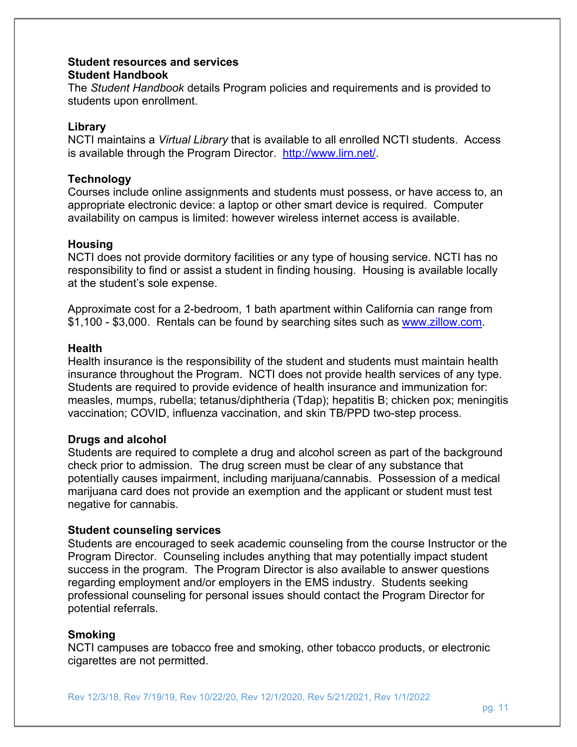#### **Student resources and services Student Handbook**

The *Student Handbook* details Program policies and requirements and is provided to students upon enrollment.

#### **Library**

NCTI maintains a *Virtual Library* that is available to all enrolled NCTI students. Access is available through the Program Director. http://www.lirn.net/.

#### **Technology**

Courses include online assignments and students must possess, or have access to, an appropriate electronic device: a laptop or other smart device is required. Computer availability on campus is limited: however wireless internet access is available.

#### **Housing**

NCTI does not provide dormitory facilities or any type of housing service. NCTI has no responsibility to find or assist a student in finding housing. Housing is available locally at the student's sole expense.

Approximate cost for a 2-bedroom, 1 bath apartment within California can range from \$1,100 - \$3,000. Rentals can be found by searching sites such as www.zillow.com.

#### **Health**

Health insurance is the responsibility of the student and students must maintain health insurance throughout the Program. NCTI does not provide health services of any type. Students are required to provide evidence of health insurance and immunization for: measles, mumps, rubella; tetanus/diphtheria (Tdap); hepatitis B; chicken pox; meningitis vaccination; COVID, influenza vaccination, and skin TB/PPD two-step process.

#### **Drugs and alcohol**

Students are required to complete a drug and alcohol screen as part of the background check prior to admission. The drug screen must be clear of any substance that potentially causes impairment, including marijuana/cannabis. Possession of a medical marijuana card does not provide an exemption and the applicant or student must test negative for cannabis.

#### **Student counseling services**

Students are encouraged to seek academic counseling from the course Instructor or the Program Director. Counseling includes anything that may potentially impact student success in the program. The Program Director is also available to answer questions regarding employment and/or employers in the EMS industry. Students seeking professional counseling for personal issues should contact the Program Director for potential referrals.

#### **Smoking**

NCTI campuses are tobacco free and smoking, other tobacco products, or electronic cigarettes are not permitted.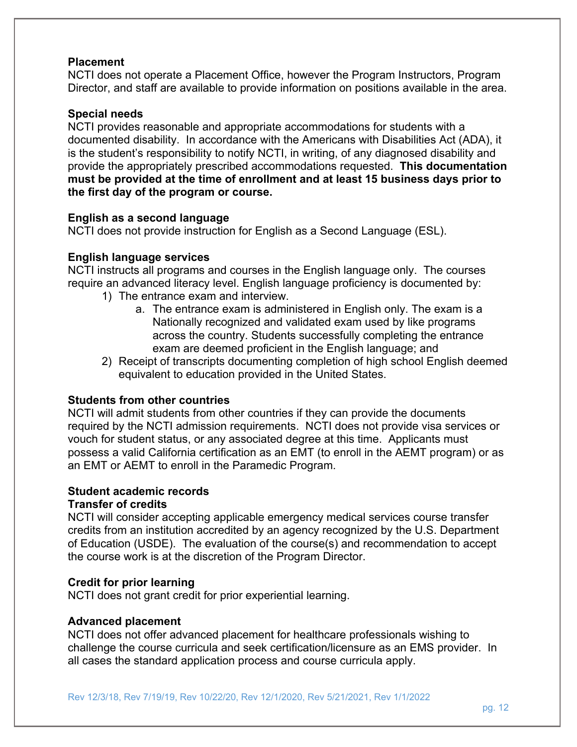#### **Placement**

NCTI does not operate a Placement Office, however the Program Instructors, Program Director, and staff are available to provide information on positions available in the area.

#### **Special needs**

NCTI provides reasonable and appropriate accommodations for students with a documented disability. In accordance with the Americans with Disabilities Act (ADA), it is the student's responsibility to notify NCTI, in writing, of any diagnosed disability and provide the appropriately prescribed accommodations requested. **This documentation must be provided at the time of enrollment and at least 15 business days prior to the first day of the program or course.**

#### **English as a second language**

NCTI does not provide instruction for English as a Second Language (ESL).

#### **English language services**

NCTI instructs all programs and courses in the English language only. The courses require an advanced literacy level. English language proficiency is documented by:

- 1) The entrance exam and interview.
	- a. The entrance exam is administered in English only. The exam is a Nationally recognized and validated exam used by like programs across the country. Students successfully completing the entrance exam are deemed proficient in the English language; and
- 2) Receipt of transcripts documenting completion of high school English deemed equivalent to education provided in the United States.

#### **Students from other countries**

NCTI will admit students from other countries if they can provide the documents required by the NCTI admission requirements. NCTI does not provide visa services or vouch for student status, or any associated degree at this time. Applicants must possess a valid California certification as an EMT (to enroll in the AEMT program) or as an EMT or AEMT to enroll in the Paramedic Program.

#### **Student academic records**

#### **Transfer of credits**

NCTI will consider accepting applicable emergency medical services course transfer credits from an institution accredited by an agency recognized by the U.S. Department of Education (USDE). The evaluation of the course(s) and recommendation to accept the course work is at the discretion of the Program Director.

#### **Credit for prior learning**

NCTI does not grant credit for prior experiential learning.

#### **Advanced placement**

NCTI does not offer advanced placement for healthcare professionals wishing to challenge the course curricula and seek certification/licensure as an EMS provider. In all cases the standard application process and course curricula apply.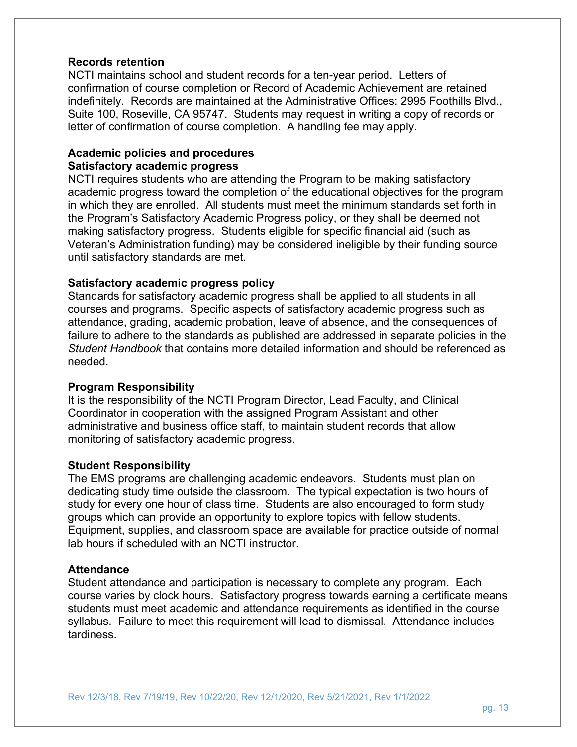#### **Records retention**

NCTI maintains school and student records for a ten-year period. Letters of confirmation of course completion or Record of Academic Achievement are retained indefinitely. Records are maintained at the Administrative Offices: 2995 Foothills Blvd., Suite 100, Roseville, CA 95747. Students may request in writing a copy of records or letter of confirmation of course completion. A handling fee may apply.

#### **Academic policies and procedures Satisfactory academic progress**

NCTI requires students who are attending the Program to be making satisfactory academic progress toward the completion of the educational objectives for the program in which they are enrolled. All students must meet the minimum standards set forth in the Program's Satisfactory Academic Progress policy, or they shall be deemed not making satisfactory progress. Students eligible for specific financial aid (such as Veteran's Administration funding) may be considered ineligible by their funding source until satisfactory standards are met.

#### **Satisfactory academic progress policy**

Standards for satisfactory academic progress shall be applied to all students in all courses and programs. Specific aspects of satisfactory academic progress such as attendance, grading, academic probation, leave of absence, and the consequences of failure to adhere to the standards as published are addressed in separate policies in the *Student Handbook* that contains more detailed information and should be referenced as needed.

#### **Program Responsibility**

It is the responsibility of the NCTI Program Director, Lead Faculty, and Clinical Coordinator in cooperation with the assigned Program Assistant and other administrative and business office staff, to maintain student records that allow monitoring of satisfactory academic progress.

#### **Student Responsibility**

The EMS programs are challenging academic endeavors. Students must plan on dedicating study time outside the classroom. The typical expectation is two hours of study for every one hour of class time. Students are also encouraged to form study groups which can provide an opportunity to explore topics with fellow students. Equipment, supplies, and classroom space are available for practice outside of normal lab hours if scheduled with an NCTI instructor.

#### **Attendance**

Student attendance and participation is necessary to complete any program. Each course varies by clock hours. Satisfactory progress towards earning a certificate means students must meet academic and attendance requirements as identified in the course syllabus. Failure to meet this requirement will lead to dismissal. Attendance includes tardiness.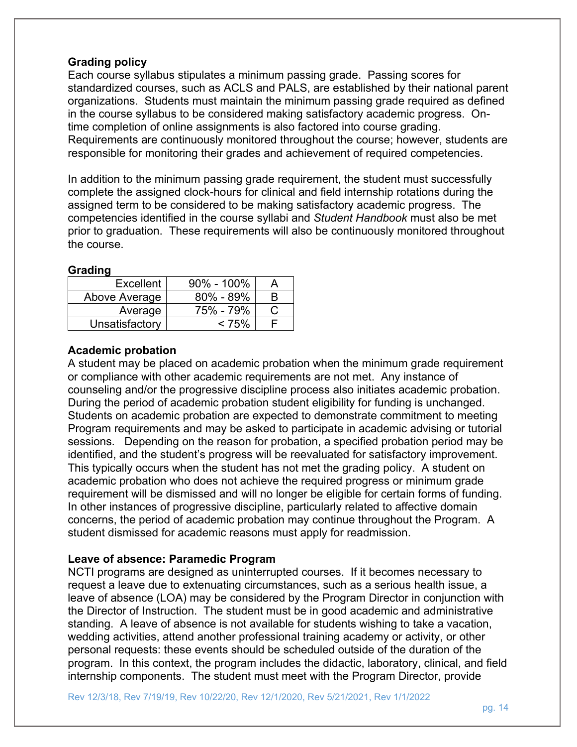#### **Grading policy**

Each course syllabus stipulates a minimum passing grade. Passing scores for standardized courses, such as ACLS and PALS, are established by their national parent organizations. Students must maintain the minimum passing grade required as defined in the course syllabus to be considered making satisfactory academic progress. Ontime completion of online assignments is also factored into course grading. Requirements are continuously monitored throughout the course; however, students are responsible for monitoring their grades and achievement of required competencies.

In addition to the minimum passing grade requirement, the student must successfully complete the assigned clock-hours for clinical and field internship rotations during the assigned term to be considered to be making satisfactory academic progress. The competencies identified in the course syllabi and *Student Handbook* must also be met prior to graduation. These requirements will also be continuously monitored throughout the course.

#### **Grading**

| Excellent      | $90\% - 100\%$ |   |
|----------------|----------------|---|
| Above Average  | $80\% - 89\%$  | к |
| Average        | 75% - 79%      |   |
| Unsatisfactory | $< 75\%$       |   |

## **Academic probation**

A student may be placed on academic probation when the minimum grade requirement or compliance with other academic requirements are not met. Any instance of counseling and/or the progressive discipline process also initiates academic probation. During the period of academic probation student eligibility for funding is unchanged. Students on academic probation are expected to demonstrate commitment to meeting Program requirements and may be asked to participate in academic advising or tutorial sessions. Depending on the reason for probation, a specified probation period may be identified, and the student's progress will be reevaluated for satisfactory improvement. This typically occurs when the student has not met the grading policy. A student on academic probation who does not achieve the required progress or minimum grade requirement will be dismissed and will no longer be eligible for certain forms of funding. In other instances of progressive discipline, particularly related to affective domain concerns, the period of academic probation may continue throughout the Program. A student dismissed for academic reasons must apply for readmission.

#### **Leave of absence: Paramedic Program**

NCTI programs are designed as uninterrupted courses. If it becomes necessary to request a leave due to extenuating circumstances, such as a serious health issue, a leave of absence (LOA) may be considered by the Program Director in conjunction with the Director of Instruction. The student must be in good academic and administrative standing. A leave of absence is not available for students wishing to take a vacation, wedding activities, attend another professional training academy or activity, or other personal requests: these events should be scheduled outside of the duration of the program. In this context, the program includes the didactic, laboratory, clinical, and field internship components. The student must meet with the Program Director, provide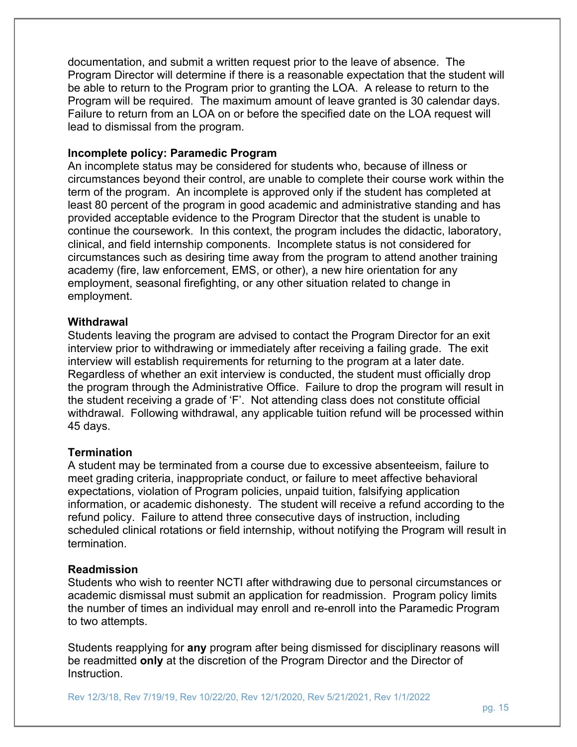documentation, and submit a written request prior to the leave of absence. The Program Director will determine if there is a reasonable expectation that the student will be able to return to the Program prior to granting the LOA. A release to return to the Program will be required. The maximum amount of leave granted is 30 calendar days. Failure to return from an LOA on or before the specified date on the LOA request will lead to dismissal from the program.

#### **Incomplete policy: Paramedic Program**

An incomplete status may be considered for students who, because of illness or circumstances beyond their control, are unable to complete their course work within the term of the program. An incomplete is approved only if the student has completed at least 80 percent of the program in good academic and administrative standing and has provided acceptable evidence to the Program Director that the student is unable to continue the coursework. In this context, the program includes the didactic, laboratory, clinical, and field internship components. Incomplete status is not considered for circumstances such as desiring time away from the program to attend another training academy (fire, law enforcement, EMS, or other), a new hire orientation for any employment, seasonal firefighting, or any other situation related to change in employment.

#### **Withdrawal**

Students leaving the program are advised to contact the Program Director for an exit interview prior to withdrawing or immediately after receiving a failing grade. The exit interview will establish requirements for returning to the program at a later date. Regardless of whether an exit interview is conducted, the student must officially drop the program through the Administrative Office. Failure to drop the program will result in the student receiving a grade of 'F'. Not attending class does not constitute official withdrawal. Following withdrawal, any applicable tuition refund will be processed within 45 days.

#### **Termination**

A student may be terminated from a course due to excessive absenteeism, failure to meet grading criteria, inappropriate conduct, or failure to meet affective behavioral expectations, violation of Program policies, unpaid tuition, falsifying application information, or academic dishonesty. The student will receive a refund according to the refund policy. Failure to attend three consecutive days of instruction, including scheduled clinical rotations or field internship, without notifying the Program will result in termination.

#### **Readmission**

Students who wish to reenter NCTI after withdrawing due to personal circumstances or academic dismissal must submit an application for readmission. Program policy limits the number of times an individual may enroll and re-enroll into the Paramedic Program to two attempts.

Students reapplying for **any** program after being dismissed for disciplinary reasons will be readmitted **only** at the discretion of the Program Director and the Director of Instruction.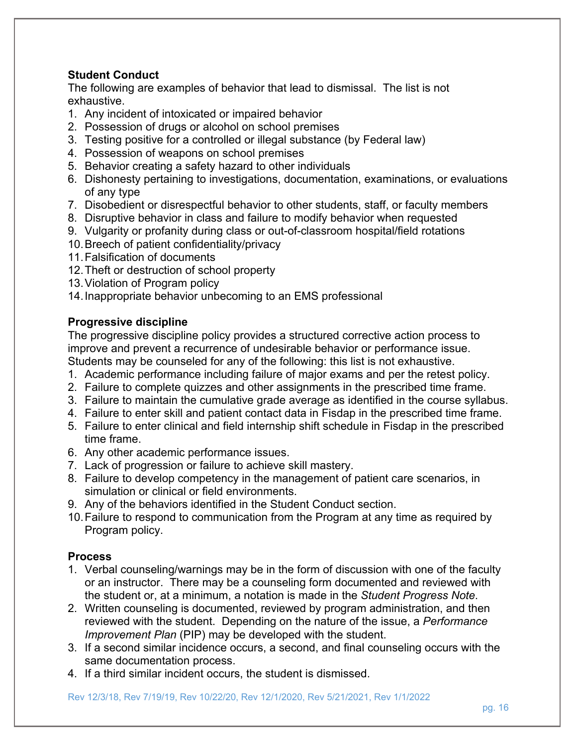## **Student Conduct**

The following are examples of behavior that lead to dismissal. The list is not exhaustive.

- 1. Any incident of intoxicated or impaired behavior
- 2. Possession of drugs or alcohol on school premises
- 3. Testing positive for a controlled or illegal substance (by Federal law)
- 4. Possession of weapons on school premises
- 5. Behavior creating a safety hazard to other individuals
- 6. Dishonesty pertaining to investigations, documentation, examinations, or evaluations of any type
- 7. Disobedient or disrespectful behavior to other students, staff, or faculty members
- 8. Disruptive behavior in class and failure to modify behavior when requested
- 9. Vulgarity or profanity during class or out-of-classroom hospital/field rotations
- 10. Breech of patient confidentiality/privacy
- 11. Falsification of documents
- 12. Theft or destruction of school property
- 13. Violation of Program policy
- 14. Inappropriate behavior unbecoming to an EMS professional

## **Progressive discipline**

The progressive discipline policy provides a structured corrective action process to improve and prevent a recurrence of undesirable behavior or performance issue. Students may be counseled for any of the following: this list is not exhaustive.

- 1. Academic performance including failure of major exams and per the retest policy.
- 2. Failure to complete quizzes and other assignments in the prescribed time frame.
- 3. Failure to maintain the cumulative grade average as identified in the course syllabus.
- 4. Failure to enter skill and patient contact data in Fisdap in the prescribed time frame.
- 5. Failure to enter clinical and field internship shift schedule in Fisdap in the prescribed time frame.
- 6. Any other academic performance issues.
- 7. Lack of progression or failure to achieve skill mastery.
- 8. Failure to develop competency in the management of patient care scenarios, in simulation or clinical or field environments.
- 9. Any of the behaviors identified in the Student Conduct section.
- 10. Failure to respond to communication from the Program at any time as required by Program policy.

## **Process**

- 1. Verbal counseling/warnings may be in the form of discussion with one of the faculty or an instructor. There may be a counseling form documented and reviewed with the student or, at a minimum, a notation is made in the *Student Progress Note*.
- 2. Written counseling is documented, reviewed by program administration, and then reviewed with the student. Depending on the nature of the issue, a *Performance Improvement Plan* (PIP) may be developed with the student.
- 3. If a second similar incidence occurs, a second, and final counseling occurs with the same documentation process.
- 4. If a third similar incident occurs, the student is dismissed.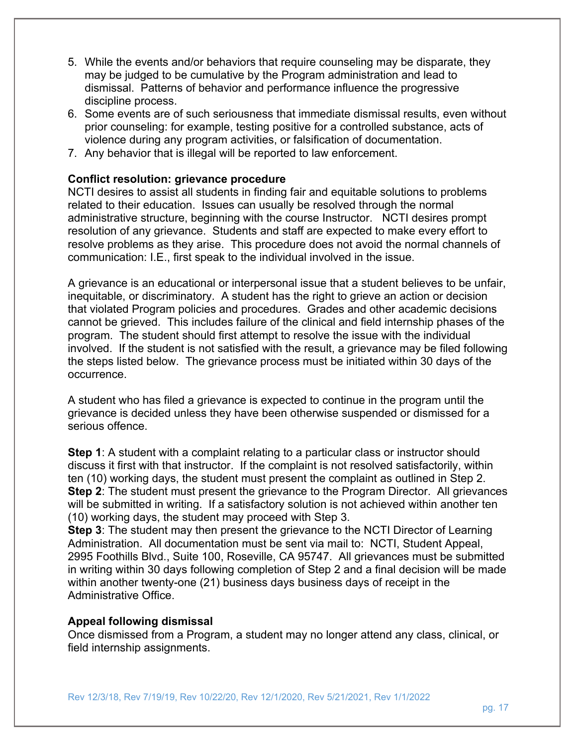- 5. While the events and/or behaviors that require counseling may be disparate, they may be judged to be cumulative by the Program administration and lead to dismissal. Patterns of behavior and performance influence the progressive discipline process.
- 6. Some events are of such seriousness that immediate dismissal results, even without prior counseling: for example, testing positive for a controlled substance, acts of violence during any program activities, or falsification of documentation.
- 7. Any behavior that is illegal will be reported to law enforcement.

#### **Conflict resolution: grievance procedure**

NCTI desires to assist all students in finding fair and equitable solutions to problems related to their education. Issues can usually be resolved through the normal administrative structure, beginning with the course Instructor. NCTI desires prompt resolution of any grievance. Students and staff are expected to make every effort to resolve problems as they arise. This procedure does not avoid the normal channels of communication: I.E., first speak to the individual involved in the issue.

A grievance is an educational or interpersonal issue that a student believes to be unfair, inequitable, or discriminatory. A student has the right to grieve an action or decision that violated Program policies and procedures. Grades and other academic decisions cannot be grieved. This includes failure of the clinical and field internship phases of the program. The student should first attempt to resolve the issue with the individual involved. If the student is not satisfied with the result, a grievance may be filed following the steps listed below. The grievance process must be initiated within 30 days of the occurrence.

A student who has filed a grievance is expected to continue in the program until the grievance is decided unless they have been otherwise suspended or dismissed for a serious offence.

**Step 1**: A student with a complaint relating to a particular class or instructor should discuss it first with that instructor. If the complaint is not resolved satisfactorily, within ten (10) working days, the student must present the complaint as outlined in Step 2. **Step 2:** The student must present the grievance to the Program Director. All grievances will be submitted in writing. If a satisfactory solution is not achieved within another ten (10) working days, the student may proceed with Step 3.

**Step 3**: The student may then present the grievance to the NCTI Director of Learning Administration. All documentation must be sent via mail to: NCTI, Student Appeal, 2995 Foothills Blvd., Suite 100, Roseville, CA 95747. All grievances must be submitted in writing within 30 days following completion of Step 2 and a final decision will be made within another twenty-one (21) business days business days of receipt in the Administrative Office.

#### **Appeal following dismissal**

Once dismissed from a Program, a student may no longer attend any class, clinical, or field internship assignments.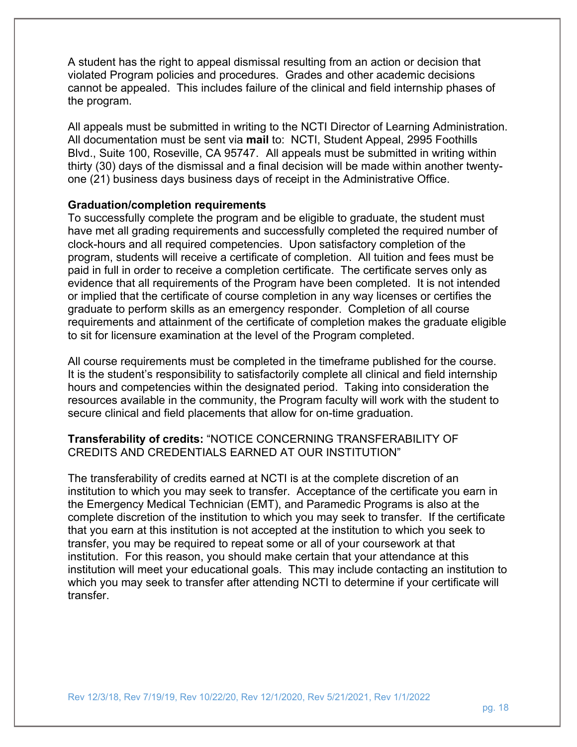A student has the right to appeal dismissal resulting from an action or decision that violated Program policies and procedures. Grades and other academic decisions cannot be appealed. This includes failure of the clinical and field internship phases of the program.

All appeals must be submitted in writing to the NCTI Director of Learning Administration. All documentation must be sent via **mail** to: NCTI, Student Appeal, 2995 Foothills Blvd., Suite 100, Roseville, CA 95747. All appeals must be submitted in writing within thirty (30) days of the dismissal and a final decision will be made within another twentyone (21) business days business days of receipt in the Administrative Office.

#### **Graduation/completion requirements**

To successfully complete the program and be eligible to graduate, the student must have met all grading requirements and successfully completed the required number of clock-hours and all required competencies. Upon satisfactory completion of the program, students will receive a certificate of completion. All tuition and fees must be paid in full in order to receive a completion certificate. The certificate serves only as evidence that all requirements of the Program have been completed. It is not intended or implied that the certificate of course completion in any way licenses or certifies the graduate to perform skills as an emergency responder. Completion of all course requirements and attainment of the certificate of completion makes the graduate eligible to sit for licensure examination at the level of the Program completed.

All course requirements must be completed in the timeframe published for the course. It is the student's responsibility to satisfactorily complete all clinical and field internship hours and competencies within the designated period. Taking into consideration the resources available in the community, the Program faculty will work with the student to secure clinical and field placements that allow for on-time graduation.

#### **Transferability of credits:** "NOTICE CONCERNING TRANSFERABILITY OF CREDITS AND CREDENTIALS EARNED AT OUR INSTITUTION"

The transferability of credits earned at NCTI is at the complete discretion of an institution to which you may seek to transfer. Acceptance of the certificate you earn in the Emergency Medical Technician (EMT), and Paramedic Programs is also at the complete discretion of the institution to which you may seek to transfer. If the certificate that you earn at this institution is not accepted at the institution to which you seek to transfer, you may be required to repeat some or all of your coursework at that institution. For this reason, you should make certain that your attendance at this institution will meet your educational goals. This may include contacting an institution to which you may seek to transfer after attending NCTI to determine if your certificate will transfer.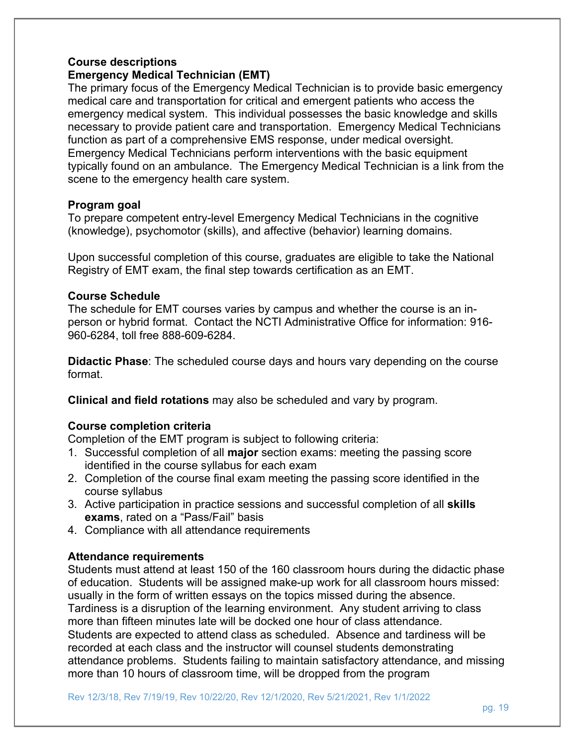#### **Course descriptions Emergency Medical Technician (EMT)**

The primary focus of the Emergency Medical Technician is to provide basic emergency medical care and transportation for critical and emergent patients who access the emergency medical system. This individual possesses the basic knowledge and skills necessary to provide patient care and transportation. Emergency Medical Technicians function as part of a comprehensive EMS response, under medical oversight. Emergency Medical Technicians perform interventions with the basic equipment typically found on an ambulance. The Emergency Medical Technician is a link from the scene to the emergency health care system.

#### **Program goal**

To prepare competent entry-level Emergency Medical Technicians in the cognitive (knowledge), psychomotor (skills), and affective (behavior) learning domains.

Upon successful completion of this course, graduates are eligible to take the National Registry of EMT exam, the final step towards certification as an EMT.

#### **Course Schedule**

The schedule for EMT courses varies by campus and whether the course is an inperson or hybrid format. Contact the NCTI Administrative Office for information: 916- 960-6284, toll free 888-609-6284.

**Didactic Phase**: The scheduled course days and hours vary depending on the course format.

**Clinical and field rotations** may also be scheduled and vary by program.

#### **Course completion criteria**

Completion of the EMT program is subject to following criteria:

- 1. Successful completion of all **major** section exams: meeting the passing score identified in the course syllabus for each exam
- 2. Completion of the course final exam meeting the passing score identified in the course syllabus
- 3. Active participation in practice sessions and successful completion of all **skills exams**, rated on a "Pass/Fail" basis
- 4. Compliance with all attendance requirements

#### **Attendance requirements**

Students must attend at least 150 of the 160 classroom hours during the didactic phase of education. Students will be assigned make-up work for all classroom hours missed: usually in the form of written essays on the topics missed during the absence. Tardiness is a disruption of the learning environment. Any student arriving to class more than fifteen minutes late will be docked one hour of class attendance. Students are expected to attend class as scheduled. Absence and tardiness will be recorded at each class and the instructor will counsel students demonstrating attendance problems. Students failing to maintain satisfactory attendance, and missing more than 10 hours of classroom time, will be dropped from the program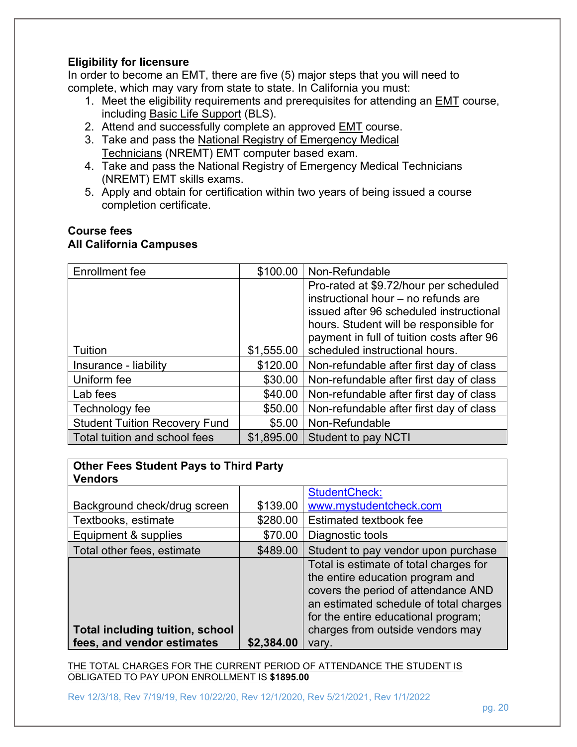#### **Eligibility for licensure**

In order to become an EMT, there are five (5) major steps that you will need to complete, which may vary from state to state. In California you must:

- 1. Meet the eligibility requirements and prerequisites for attending an EMT course, including **Basic Life Support (BLS)**.
- 2. Attend and successfully complete an approved EMT course.
- 3. Take and pass the National Registry of Emergency Medical Technicians (NREMT) EMT computer based exam.
- 4. Take and pass the National Registry of Emergency Medical Technicians (NREMT) EMT skills exams.
- 5. Apply and obtain for certification within two years of being issued a course completion certificate.

#### **Course fees All California Campuses**

| Enrollment fee                       | \$100.00   | Non-Refundable                            |
|--------------------------------------|------------|-------------------------------------------|
|                                      |            | Pro-rated at \$9.72/hour per scheduled    |
|                                      |            | instructional hour - no refunds are       |
|                                      |            | issued after 96 scheduled instructional   |
|                                      |            | hours. Student will be responsible for    |
|                                      |            | payment in full of tuition costs after 96 |
| Tuition                              | \$1,555.00 | scheduled instructional hours.            |
| Insurance - liability                | \$120.00   | Non-refundable after first day of class   |
| Uniform fee                          | \$30.00    | Non-refundable after first day of class   |
| Lab fees                             | \$40.00    | Non-refundable after first day of class   |
| Technology fee                       | \$50.00    | Non-refundable after first day of class   |
| <b>Student Tuition Recovery Fund</b> | \$5.00     | Non-Refundable                            |
| Total tuition and school fees        | \$1,895.00 | <b>Student to pay NCTI</b>                |

| <b>Other Fees Student Pays to Third Party</b><br><b>Vendors</b> |            |                                                                                                                                                                                                    |  |  |
|-----------------------------------------------------------------|------------|----------------------------------------------------------------------------------------------------------------------------------------------------------------------------------------------------|--|--|
|                                                                 |            | <b>StudentCheck:</b>                                                                                                                                                                               |  |  |
| Background check/drug screen                                    | \$139.00   | www.mystudentcheck.com                                                                                                                                                                             |  |  |
| Textbooks, estimate                                             | \$280.00   | Estimated textbook fee                                                                                                                                                                             |  |  |
| Equipment & supplies                                            | \$70.00    | Diagnostic tools                                                                                                                                                                                   |  |  |
| Total other fees, estimate                                      | \$489.00   | Student to pay vendor upon purchase                                                                                                                                                                |  |  |
|                                                                 |            | Total is estimate of total charges for<br>the entire education program and<br>covers the period of attendance AND<br>an estimated schedule of total charges<br>for the entire educational program; |  |  |
| <b>Total including tuition, school</b>                          |            | charges from outside vendors may                                                                                                                                                                   |  |  |
| fees, and vendor estimates                                      | \$2,384.00 | vary.                                                                                                                                                                                              |  |  |

THE TOTAL CHARGES FOR THE CURRENT PERIOD OF ATTENDANCE THE STUDENT IS OBLIGATED TO PAY UPON ENROLLMENT IS **\$1895.00**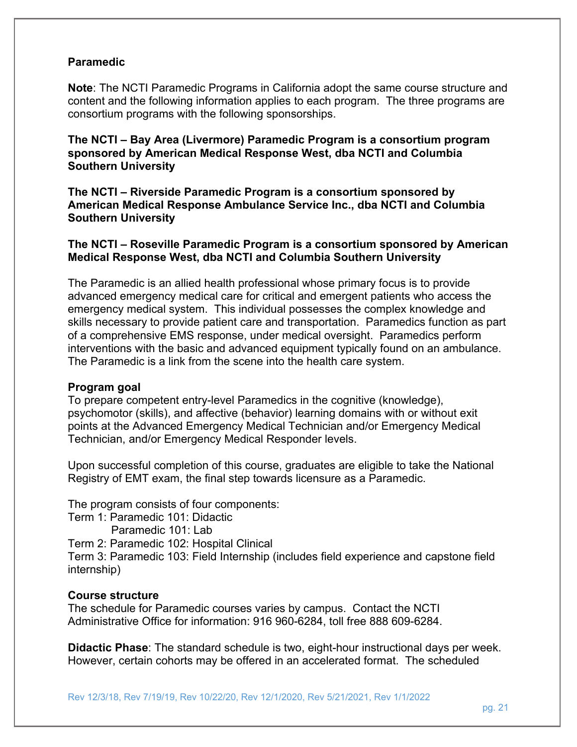#### **Paramedic**

**Note**: The NCTI Paramedic Programs in California adopt the same course structure and content and the following information applies to each program. The three programs are consortium programs with the following sponsorships.

**The NCTI – Bay Area (Livermore) Paramedic Program is a consortium program sponsored by American Medical Response West, dba NCTI and Columbia Southern University** 

**The NCTI – Riverside Paramedic Program is a consortium sponsored by American Medical Response Ambulance Service Inc., dba NCTI and Columbia Southern University** 

**The NCTI – Roseville Paramedic Program is a consortium sponsored by American Medical Response West, dba NCTI and Columbia Southern University** 

The Paramedic is an allied health professional whose primary focus is to provide advanced emergency medical care for critical and emergent patients who access the emergency medical system. This individual possesses the complex knowledge and skills necessary to provide patient care and transportation. Paramedics function as part of a comprehensive EMS response, under medical oversight. Paramedics perform interventions with the basic and advanced equipment typically found on an ambulance. The Paramedic is a link from the scene into the health care system.

#### **Program goal**

To prepare competent entry-level Paramedics in the cognitive (knowledge), psychomotor (skills), and affective (behavior) learning domains with or without exit points at the Advanced Emergency Medical Technician and/or Emergency Medical Technician, and/or Emergency Medical Responder levels.

Upon successful completion of this course, graduates are eligible to take the National Registry of EMT exam, the final step towards licensure as a Paramedic.

The program consists of four components:

- Term 1: Paramedic 101: Didactic
	- Paramedic 101: Lab

Term 2: Paramedic 102: Hospital Clinical

Term 3: Paramedic 103: Field Internship (includes field experience and capstone field internship)

#### **Course structure**

The schedule for Paramedic courses varies by campus. Contact the NCTI Administrative Office for information: 916 960-6284, toll free 888 609-6284.

**Didactic Phase**: The standard schedule is two, eight-hour instructional days per week. However, certain cohorts may be offered in an accelerated format. The scheduled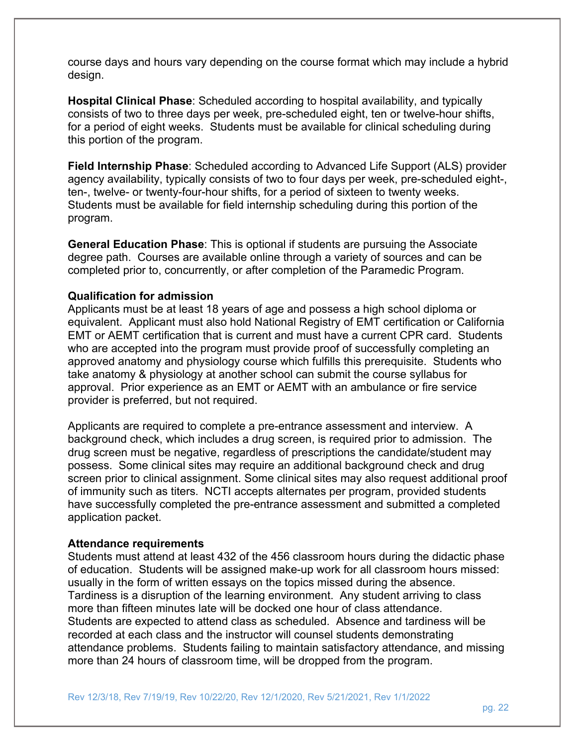course days and hours vary depending on the course format which may include a hybrid design.

**Hospital Clinical Phase**: Scheduled according to hospital availability, and typically consists of two to three days per week, pre-scheduled eight, ten or twelve-hour shifts, for a period of eight weeks. Students must be available for clinical scheduling during this portion of the program.

**Field Internship Phase**: Scheduled according to Advanced Life Support (ALS) provider agency availability, typically consists of two to four days per week, pre-scheduled eight-, ten-, twelve- or twenty-four-hour shifts, for a period of sixteen to twenty weeks. Students must be available for field internship scheduling during this portion of the program.

**General Education Phase**: This is optional if students are pursuing the Associate degree path. Courses are available online through a variety of sources and can be completed prior to, concurrently, or after completion of the Paramedic Program.

#### **Qualification for admission**

Applicants must be at least 18 years of age and possess a high school diploma or equivalent. Applicant must also hold National Registry of EMT certification or California EMT or AEMT certification that is current and must have a current CPR card. Students who are accepted into the program must provide proof of successfully completing an approved anatomy and physiology course which fulfills this prerequisite. Students who take anatomy & physiology at another school can submit the course syllabus for approval. Prior experience as an EMT or AEMT with an ambulance or fire service provider is preferred, but not required.

Applicants are required to complete a pre-entrance assessment and interview. A background check, which includes a drug screen, is required prior to admission. The drug screen must be negative, regardless of prescriptions the candidate/student may possess. Some clinical sites may require an additional background check and drug screen prior to clinical assignment. Some clinical sites may also request additional proof of immunity such as titers. NCTI accepts alternates per program, provided students have successfully completed the pre-entrance assessment and submitted a completed application packet.

#### **Attendance requirements**

Students must attend at least 432 of the 456 classroom hours during the didactic phase of education. Students will be assigned make-up work for all classroom hours missed: usually in the form of written essays on the topics missed during the absence. Tardiness is a disruption of the learning environment. Any student arriving to class more than fifteen minutes late will be docked one hour of class attendance. Students are expected to attend class as scheduled. Absence and tardiness will be recorded at each class and the instructor will counsel students demonstrating attendance problems. Students failing to maintain satisfactory attendance, and missing more than 24 hours of classroom time, will be dropped from the program.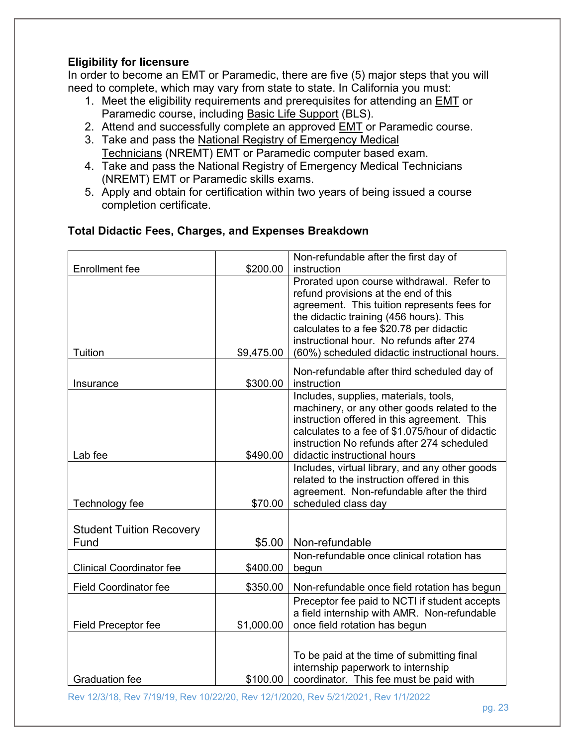### **Eligibility for licensure**

In order to become an EMT or Paramedic, there are five (5) major steps that you will need to complete, which may vary from state to state. In California you must:

- 1. Meet the eligibility requirements and prerequisites for attending an EMT or Paramedic course, including Basic Life Support (BLS).
- 2. Attend and successfully complete an approved EMT or Paramedic course.
- 3. Take and pass the National Registry of Emergency Medical Technicians (NREMT) EMT or Paramedic computer based exam.
- 4. Take and pass the National Registry of Emergency Medical Technicians (NREMT) EMT or Paramedic skills exams.
- 5. Apply and obtain for certification within two years of being issued a course completion certificate.

## **Total Didactic Fees, Charges, and Expenses Breakdown**

| <b>Enrollment</b> fee           | \$200.00   | Non-refundable after the first day of<br>instruction                                         |
|---------------------------------|------------|----------------------------------------------------------------------------------------------|
|                                 |            | Prorated upon course withdrawal. Refer to                                                    |
|                                 |            | refund provisions at the end of this                                                         |
|                                 |            | agreement. This tuition represents fees for                                                  |
|                                 |            | the didactic training (456 hours). This<br>calculates to a fee \$20.78 per didactic          |
|                                 |            | instructional hour. No refunds after 274                                                     |
| Tuition                         | \$9,475.00 | (60%) scheduled didactic instructional hours.                                                |
|                                 |            | Non-refundable after third scheduled day of                                                  |
| Insurance                       | \$300.00   | instruction                                                                                  |
|                                 |            | Includes, supplies, materials, tools,                                                        |
|                                 |            | machinery, or any other goods related to the<br>instruction offered in this agreement. This  |
|                                 |            | calculates to a fee of \$1.075/hour of didactic                                              |
|                                 |            | instruction No refunds after 274 scheduled                                                   |
| Lab fee                         | \$490.00   | didactic instructional hours                                                                 |
|                                 |            | Includes, virtual library, and any other goods<br>related to the instruction offered in this |
|                                 |            | agreement. Non-refundable after the third                                                    |
| Technology fee                  | \$70.00    | scheduled class day                                                                          |
|                                 |            |                                                                                              |
| <b>Student Tuition Recovery</b> |            |                                                                                              |
| Fund                            | \$5.00     | Non-refundable                                                                               |
| <b>Clinical Coordinator fee</b> | \$400.00   | Non-refundable once clinical rotation has<br>begun                                           |
|                                 |            |                                                                                              |
| <b>Field Coordinator fee</b>    | \$350.00   | Non-refundable once field rotation has begun                                                 |
|                                 |            | Preceptor fee paid to NCTI if student accepts                                                |
| <b>Field Preceptor fee</b>      | \$1,000.00 | a field internship with AMR. Non-refundable<br>once field rotation has begun                 |
|                                 |            |                                                                                              |
|                                 |            | To be paid at the time of submitting final                                                   |
|                                 |            | internship paperwork to internship                                                           |
| <b>Graduation fee</b>           | \$100.00   | coordinator. This fee must be paid with                                                      |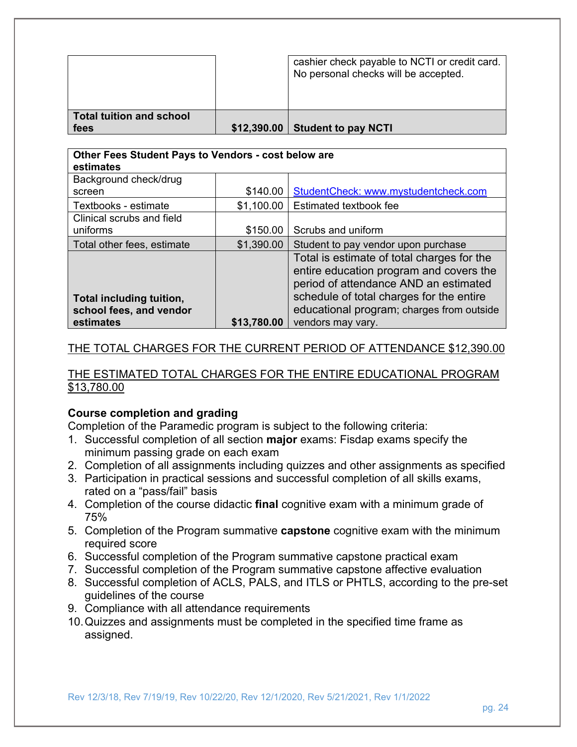|                                         | cashier check payable to NCTI or credit card.<br>No personal checks will be accepted. |
|-----------------------------------------|---------------------------------------------------------------------------------------|
| <b>Total tuition and school</b><br>fees | \$12,390.00 Student to pay NCTI                                                       |

| Other Fees Student Pays to Vendors - cost below are<br>estimates |             |                                                                                                                                                                                                                         |
|------------------------------------------------------------------|-------------|-------------------------------------------------------------------------------------------------------------------------------------------------------------------------------------------------------------------------|
| Background check/drug                                            |             |                                                                                                                                                                                                                         |
| screen                                                           | \$140.00    | StudentCheck: www.mystudentcheck.com                                                                                                                                                                                    |
| Textbooks - estimate                                             | \$1,100.00  | Estimated textbook fee                                                                                                                                                                                                  |
| Clinical scrubs and field                                        |             |                                                                                                                                                                                                                         |
| uniforms                                                         | \$150.00    | Scrubs and uniform                                                                                                                                                                                                      |
| Total other fees, estimate                                       | \$1,390.00  | Student to pay vendor upon purchase                                                                                                                                                                                     |
| Total including tuition,<br>school fees, and vendor              |             | Total is estimate of total charges for the<br>entire education program and covers the<br>period of attendance AND an estimated<br>schedule of total charges for the entire<br>educational program; charges from outside |
| estimates                                                        | \$13,780.00 | vendors may vary.                                                                                                                                                                                                       |

#### THE TOTAL CHARGES FOR THE CURRENT PERIOD OF ATTENDANCE \$12,390.00

#### THE ESTIMATED TOTAL CHARGES FOR THE ENTIRE EDUCATIONAL PROGRAM \$13,780.00

#### **Course completion and grading**

Completion of the Paramedic program is subject to the following criteria:

- 1. Successful completion of all section **major** exams: Fisdap exams specify the minimum passing grade on each exam
- 2. Completion of all assignments including quizzes and other assignments as specified
- 3. Participation in practical sessions and successful completion of all skills exams, rated on a "pass/fail" basis
- 4. Completion of the course didactic **final** cognitive exam with a minimum grade of 75%
- 5. Completion of the Program summative **capstone** cognitive exam with the minimum required score
- 6. Successful completion of the Program summative capstone practical exam
- 7. Successful completion of the Program summative capstone affective evaluation
- 8. Successful completion of ACLS, PALS, and ITLS or PHTLS, according to the pre-set guidelines of the course
- 9. Compliance with all attendance requirements
- 10. Quizzes and assignments must be completed in the specified time frame as assigned.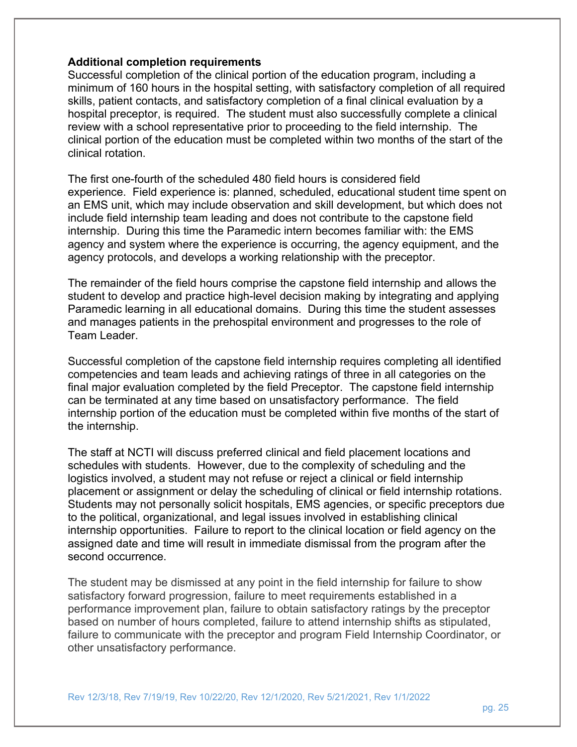#### **Additional completion requirements**

Successful completion of the clinical portion of the education program, including a minimum of 160 hours in the hospital setting, with satisfactory completion of all required skills, patient contacts, and satisfactory completion of a final clinical evaluation by a hospital preceptor, is required. The student must also successfully complete a clinical review with a school representative prior to proceeding to the field internship. The clinical portion of the education must be completed within two months of the start of the clinical rotation.

The first one-fourth of the scheduled 480 field hours is considered field experience. Field experience is: planned, scheduled, educational student time spent on an EMS unit, which may include observation and skill development, but which does not include field internship team leading and does not contribute to the capstone field internship. During this time the Paramedic intern becomes familiar with: the EMS agency and system where the experience is occurring, the agency equipment, and the agency protocols, and develops a working relationship with the preceptor.

The remainder of the field hours comprise the capstone field internship and allows the student to develop and practice high-level decision making by integrating and applying Paramedic learning in all educational domains. During this time the student assesses and manages patients in the prehospital environment and progresses to the role of Team Leader.

Successful completion of the capstone field internship requires completing all identified competencies and team leads and achieving ratings of three in all categories on the final major evaluation completed by the field Preceptor. The capstone field internship can be terminated at any time based on unsatisfactory performance. The field internship portion of the education must be completed within five months of the start of the internship.

The staff at NCTI will discuss preferred clinical and field placement locations and schedules with students. However, due to the complexity of scheduling and the logistics involved, a student may not refuse or reject a clinical or field internship placement or assignment or delay the scheduling of clinical or field internship rotations. Students may not personally solicit hospitals, EMS agencies, or specific preceptors due to the political, organizational, and legal issues involved in establishing clinical internship opportunities. Failure to report to the clinical location or field agency on the assigned date and time will result in immediate dismissal from the program after the second occurrence.

The student may be dismissed at any point in the field internship for failure to show satisfactory forward progression, failure to meet requirements established in a performance improvement plan, failure to obtain satisfactory ratings by the preceptor based on number of hours completed, failure to attend internship shifts as stipulated, failure to communicate with the preceptor and program Field Internship Coordinator, or other unsatisfactory performance.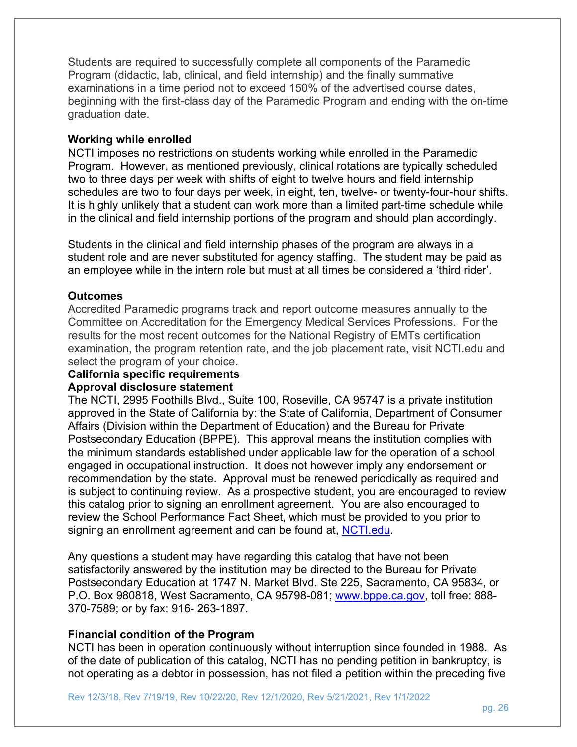Students are required to successfully complete all components of the Paramedic Program (didactic, lab, clinical, and field internship) and the finally summative examinations in a time period not to exceed 150% of the advertised course dates, beginning with the first-class day of the Paramedic Program and ending with the on-time graduation date.

#### **Working while enrolled**

NCTI imposes no restrictions on students working while enrolled in the Paramedic Program. However, as mentioned previously, clinical rotations are typically scheduled two to three days per week with shifts of eight to twelve hours and field internship schedules are two to four days per week, in eight, ten, twelve- or twenty-four-hour shifts. It is highly unlikely that a student can work more than a limited part-time schedule while in the clinical and field internship portions of the program and should plan accordingly.

Students in the clinical and field internship phases of the program are always in a student role and are never substituted for agency staffing. The student may be paid as an employee while in the intern role but must at all times be considered a 'third rider'.

#### **Outcomes**

Accredited Paramedic programs track and report outcome measures annually to the Committee on Accreditation for the Emergency Medical Services Professions. For the results for the most recent outcomes for the National Registry of EMTs certification examination, the program retention rate, and the job placement rate, visit NCTI.edu and select the program of your choice.

#### **California specific requirements Approval disclosure statement**

The NCTI, 2995 Foothills Blvd., Suite 100, Roseville, CA 95747 is a private institution approved in the State of California by: the State of California, Department of Consumer Affairs (Division within the Department of Education) and the Bureau for Private Postsecondary Education (BPPE). This approval means the institution complies with the minimum standards established under applicable law for the operation of a school engaged in occupational instruction. It does not however imply any endorsement or recommendation by the state. Approval must be renewed periodically as required and is subject to continuing review. As a prospective student, you are encouraged to review this catalog prior to signing an enrollment agreement. You are also encouraged to review the School Performance Fact Sheet, which must be provided to you prior to signing an enrollment agreement and can be found at, NCTI.edu.

Any questions a student may have regarding this catalog that have not been satisfactorily answered by the institution may be directed to the Bureau for Private Postsecondary Education at 1747 N. Market Blvd. Ste 225, Sacramento, CA 95834, or P.O. Box 980818, West Sacramento, CA 95798-081; www.bppe.ca.gov, toll free: 888- 370-7589; or by fax: 916- 263-1897.

#### **Financial condition of the Program**

NCTI has been in operation continuously without interruption since founded in 1988. As of the date of publication of this catalog, NCTI has no pending petition in bankruptcy, is not operating as a debtor in possession, has not filed a petition within the preceding five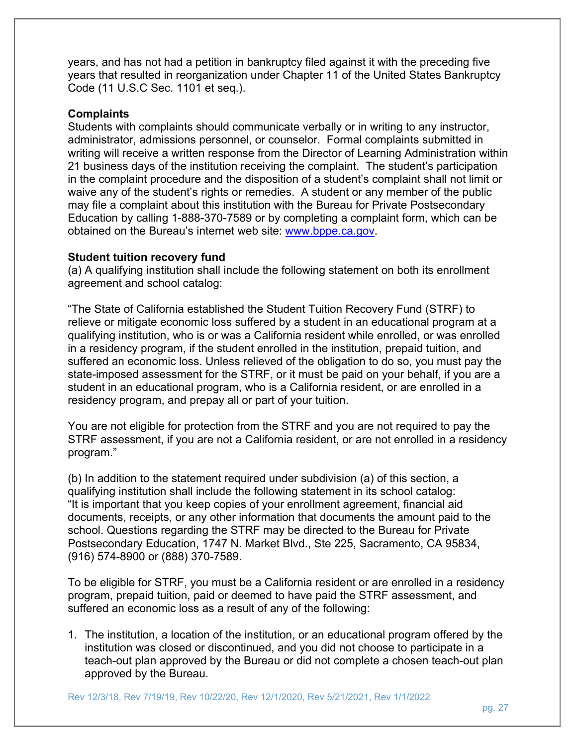years, and has not had a petition in bankruptcy filed against it with the preceding five years that resulted in reorganization under Chapter 11 of the United States Bankruptcy Code (11 U.S.C Sec. 1101 et seq.).

#### **Complaints**

Students with complaints should communicate verbally or in writing to any instructor, administrator, admissions personnel, or counselor. Formal complaints submitted in writing will receive a written response from the Director of Learning Administration within 21 business days of the institution receiving the complaint. The student's participation in the complaint procedure and the disposition of a student's complaint shall not limit or waive any of the student's rights or remedies. A student or any member of the public may file a complaint about this institution with the Bureau for Private Postsecondary Education by calling 1-888-370-7589 or by completing a complaint form, which can be obtained on the Bureau's internet web site: www.bppe.ca.gov.

#### **Student tuition recovery fund**

(a) A qualifying institution shall include the following statement on both its enrollment agreement and school catalog:

"The State of California established the Student Tuition Recovery Fund (STRF) to relieve or mitigate economic loss suffered by a student in an educational program at a qualifying institution, who is or was a California resident while enrolled, or was enrolled in a residency program, if the student enrolled in the institution, prepaid tuition, and suffered an economic loss. Unless relieved of the obligation to do so, you must pay the state-imposed assessment for the STRF, or it must be paid on your behalf, if you are a student in an educational program, who is a California resident, or are enrolled in a residency program, and prepay all or part of your tuition.

You are not eligible for protection from the STRF and you are not required to pay the STRF assessment, if you are not a California resident, or are not enrolled in a residency program."

(b) In addition to the statement required under subdivision (a) of this section, a qualifying institution shall include the following statement in its school catalog: "It is important that you keep copies of your enrollment agreement, financial aid documents, receipts, or any other information that documents the amount paid to the school. Questions regarding the STRF may be directed to the Bureau for Private Postsecondary Education, 1747 N. Market Blvd., Ste 225, Sacramento, CA 95834, (916) 574-8900 or (888) 370-7589.

To be eligible for STRF, you must be a California resident or are enrolled in a residency program, prepaid tuition, paid or deemed to have paid the STRF assessment, and suffered an economic loss as a result of any of the following:

1. The institution, a location of the institution, or an educational program offered by the institution was closed or discontinued, and you did not choose to participate in a teach-out plan approved by the Bureau or did not complete a chosen teach-out plan approved by the Bureau.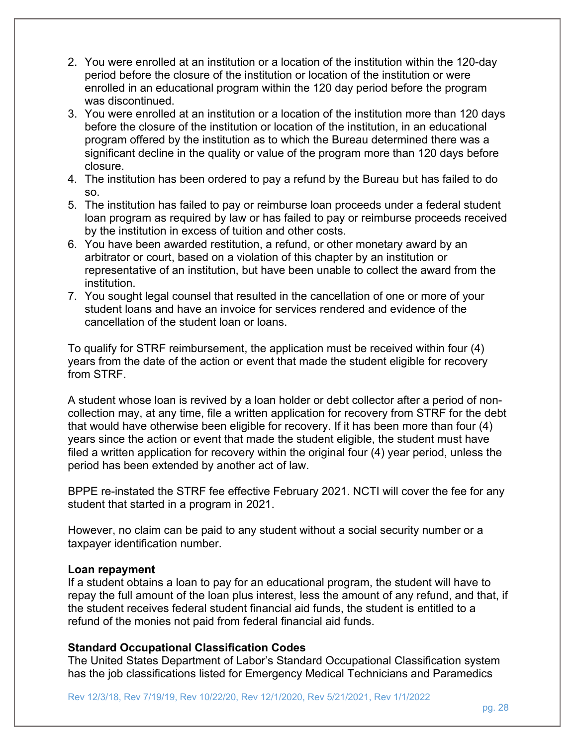- 2. You were enrolled at an institution or a location of the institution within the 120-day period before the closure of the institution or location of the institution or were enrolled in an educational program within the 120 day period before the program was discontinued.
- 3. You were enrolled at an institution or a location of the institution more than 120 days before the closure of the institution or location of the institution, in an educational program offered by the institution as to which the Bureau determined there was a significant decline in the quality or value of the program more than 120 days before closure.
- 4. The institution has been ordered to pay a refund by the Bureau but has failed to do so.
- 5. The institution has failed to pay or reimburse loan proceeds under a federal student loan program as required by law or has failed to pay or reimburse proceeds received by the institution in excess of tuition and other costs.
- 6. You have been awarded restitution, a refund, or other monetary award by an arbitrator or court, based on a violation of this chapter by an institution or representative of an institution, but have been unable to collect the award from the institution.
- 7. You sought legal counsel that resulted in the cancellation of one or more of your student loans and have an invoice for services rendered and evidence of the cancellation of the student loan or loans.

To qualify for STRF reimbursement, the application must be received within four (4) years from the date of the action or event that made the student eligible for recovery from STRF.

A student whose loan is revived by a loan holder or debt collector after a period of noncollection may, at any time, file a written application for recovery from STRF for the debt that would have otherwise been eligible for recovery. If it has been more than four (4) years since the action or event that made the student eligible, the student must have filed a written application for recovery within the original four (4) year period, unless the period has been extended by another act of law.

BPPE re-instated the STRF fee effective February 2021. NCTI will cover the fee for any student that started in a program in 2021.

However, no claim can be paid to any student without a social security number or a taxpayer identification number.

#### **Loan repayment**

If a student obtains a loan to pay for an educational program, the student will have to repay the full amount of the loan plus interest, less the amount of any refund, and that, if the student receives federal student financial aid funds, the student is entitled to a refund of the monies not paid from federal financial aid funds.

#### **Standard Occupational Classification Codes**

The United States Department of Labor's Standard Occupational Classification system has the job classifications listed for Emergency Medical Technicians and Paramedics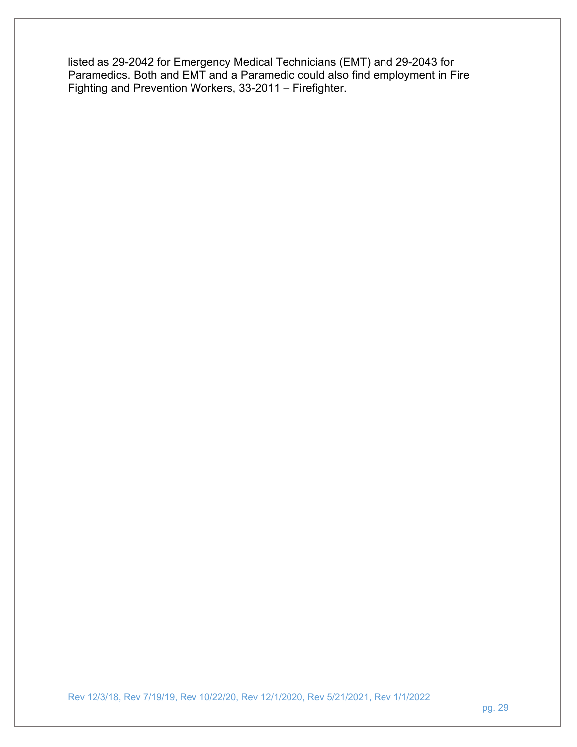listed as 29-2042 for Emergency Medical Technicians (EMT) and 29-2043 for Paramedics. Both and EMT and a Paramedic could also find employment in Fire Fighting and Prevention Workers, 33-2011 – Firefighter.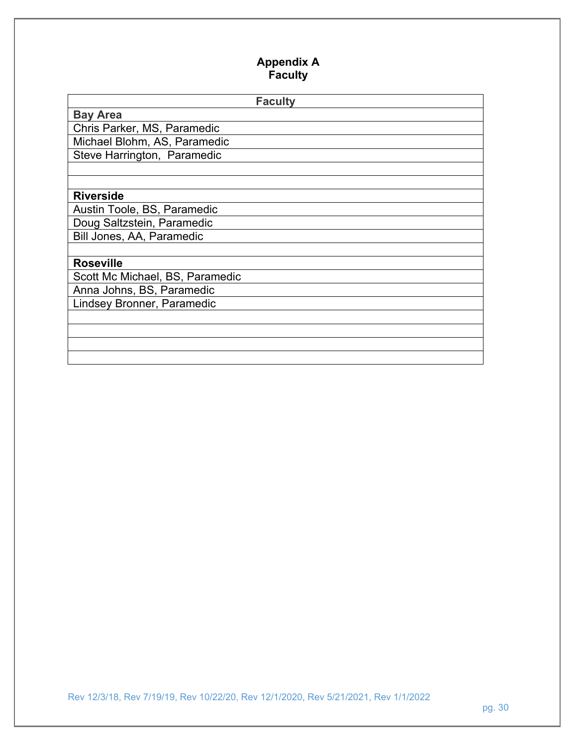## **Appendix A Faculty**

| <b>Faculty</b>                  |  |  |
|---------------------------------|--|--|
| <b>Bay Area</b>                 |  |  |
| Chris Parker, MS, Paramedic     |  |  |
| Michael Blohm, AS, Paramedic    |  |  |
| Steve Harrington, Paramedic     |  |  |
|                                 |  |  |
|                                 |  |  |
| <b>Riverside</b>                |  |  |
| Austin Toole, BS, Paramedic     |  |  |
| Doug Saltzstein, Paramedic      |  |  |
| Bill Jones, AA, Paramedic       |  |  |
|                                 |  |  |
| <b>Roseville</b>                |  |  |
| Scott Mc Michael, BS, Paramedic |  |  |
| Anna Johns, BS, Paramedic       |  |  |
| Lindsey Bronner, Paramedic      |  |  |
|                                 |  |  |
|                                 |  |  |
|                                 |  |  |
|                                 |  |  |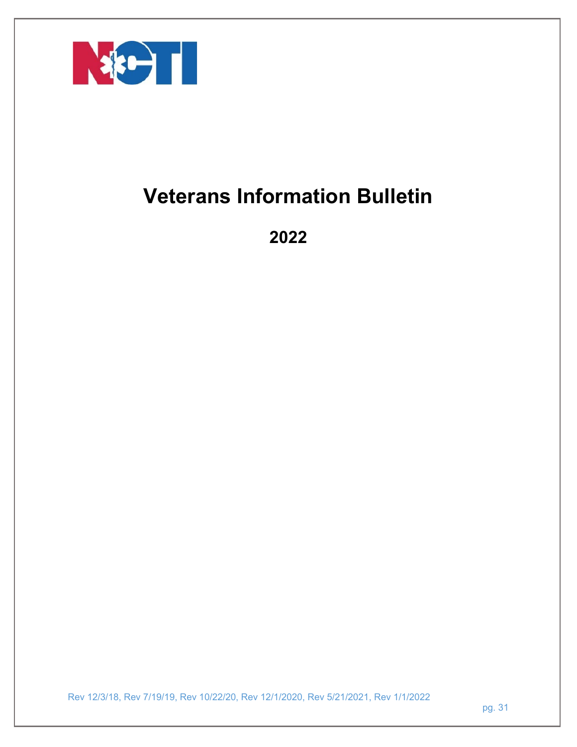

# **Veterans Information Bulletin**

**2022**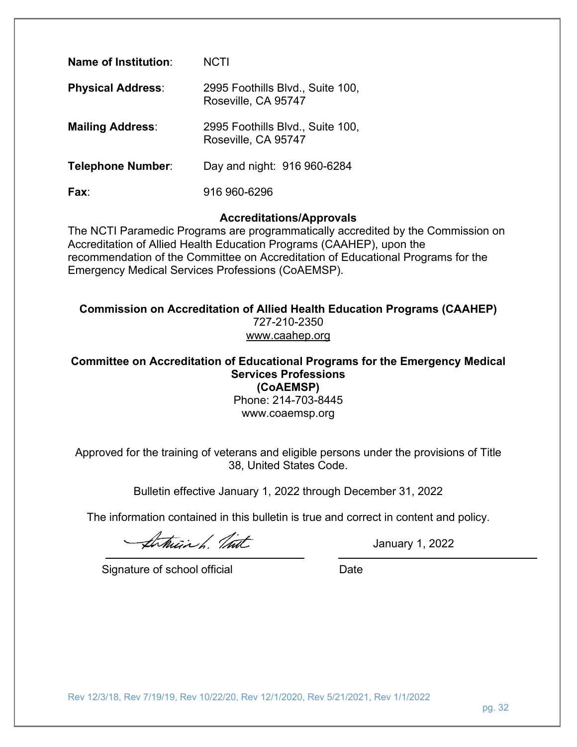| Name of Institution:     | <b>NCTI</b>                                             |
|--------------------------|---------------------------------------------------------|
| <b>Physical Address:</b> | 2995 Foothills Blvd., Suite 100,<br>Roseville, CA 95747 |
| <b>Mailing Address:</b>  | 2995 Foothills Blvd., Suite 100,<br>Roseville, CA 95747 |
| <b>Telephone Number:</b> | Day and night: 916 960-6284                             |
| Fax <sup>-</sup>         | 916 960-6296                                            |

#### **Accreditations/Approvals**

The NCTI Paramedic Programs are programmatically accredited by the Commission on Accreditation of Allied Health Education Programs (CAAHEP), upon the recommendation of the Committee on Accreditation of Educational Programs for the Emergency Medical Services Professions (CoAEMSP).

**Commission on Accreditation of Allied Health Education Programs (CAAHEP)** 727-210-2350 www.caahep.org

**Committee on Accreditation of Educational Programs for the Emergency Medical Services Professions (CoAEMSP)**

Phone: 214-703-8445 www.coaemsp.org

Approved for the training of veterans and eligible persons under the provisions of Title 38, United States Code.

Bulletin effective January 1, 2022 through December 31, 2022

The information contained in this bulletin is true and correct in content and policy.

January 1, 2022

Signature of school official Date Date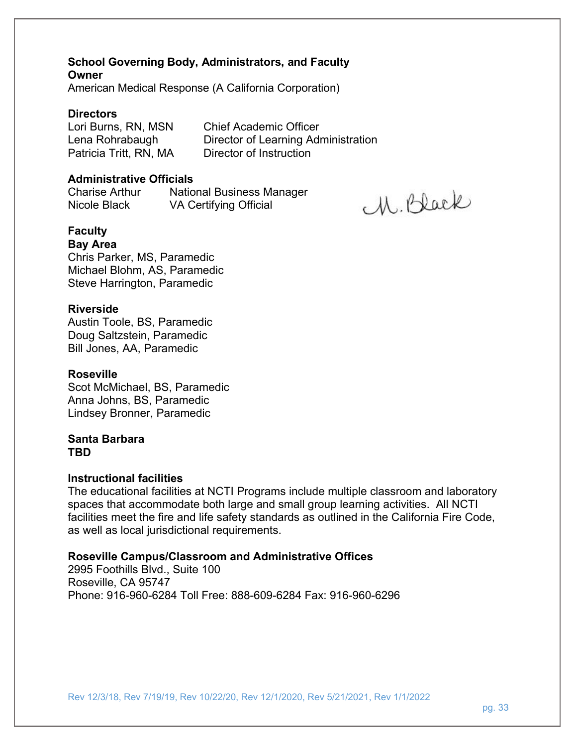**School Governing Body, Administrators, and Faculty Owner**  American Medical Response (A California Corporation)

#### **Directors**

Lori Burns, RN, MSN Chief Academic Officer

Lena Rohrabaugh Director of Learning Administration Patricia Tritt, RN, MADirector of Instruction

M. Black

#### **Administrative Officials**

Charise Arthur National Business Manager Nicole BlackVA Certifying Official

**Faculty** 

#### **Bay Area**

Chris Parker, MS, Paramedic Michael Blohm, AS, Paramedic Steve Harrington, Paramedic

#### **Riverside**

Austin Toole, BS, Paramedic Doug Saltzstein, Paramedic Bill Jones, AA, Paramedic

#### **Roseville**

Scot McMichael, BS, Paramedic Anna Johns, BS, Paramedic Lindsey Bronner, Paramedic

#### **Santa Barbara TBD**

#### **Instructional facilities**

The educational facilities at NCTI Programs include multiple classroom and laboratory spaces that accommodate both large and small group learning activities. All NCTI facilities meet the fire and life safety standards as outlined in the California Fire Code, as well as local jurisdictional requirements.

#### **Roseville Campus/Classroom and Administrative Offices**

2995 Foothills Blvd., Suite 100 Roseville, CA 95747 Phone: 916-960-6284 Toll Free: 888-609-6284 Fax: 916-960-6296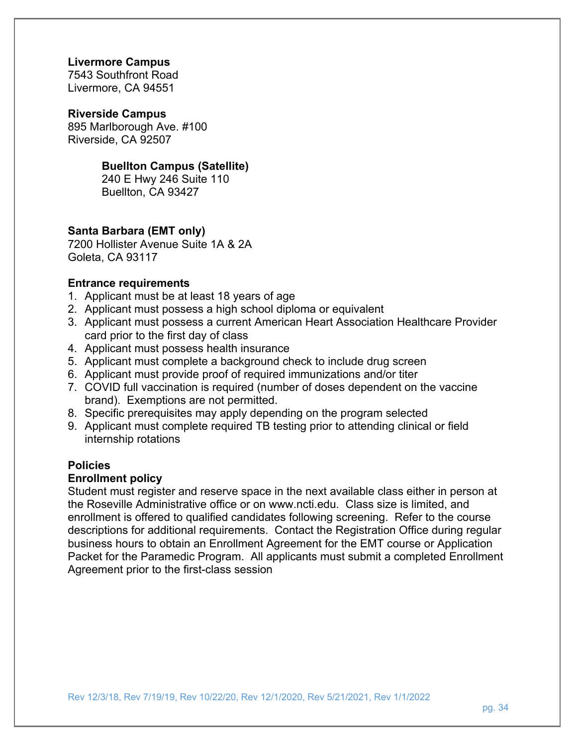#### **Livermore Campus**

7543 Southfront Road Livermore, CA 94551

#### **Riverside Campus**

895 Marlborough Ave. #100 Riverside, CA 92507

#### **Buellton Campus (Satellite)**

240 E Hwy 246 Suite 110 Buellton, CA 93427

#### **Santa Barbara (EMT only)**

7200 Hollister Avenue Suite 1A & 2A Goleta, CA 93117

#### **Entrance requirements**

- 1. Applicant must be at least 18 years of age
- 2. Applicant must possess a high school diploma or equivalent
- 3. Applicant must possess a current American Heart Association Healthcare Provider card prior to the first day of class
- 4. Applicant must possess health insurance
- 5. Applicant must complete a background check to include drug screen
- 6. Applicant must provide proof of required immunizations and/or titer
- 7. COVID full vaccination is required (number of doses dependent on the vaccine brand). Exemptions are not permitted.
- 8. Specific prerequisites may apply depending on the program selected
- 9. Applicant must complete required TB testing prior to attending clinical or field internship rotations

#### **Policies**

### **Enrollment policy**

Student must register and reserve space in the next available class either in person at the Roseville Administrative office or on www.ncti.edu. Class size is limited, and enrollment is offered to qualified candidates following screening. Refer to the course descriptions for additional requirements. Contact the Registration Office during regular business hours to obtain an Enrollment Agreement for the EMT course or Application Packet for the Paramedic Program. All applicants must submit a completed Enrollment Agreement prior to the first-class session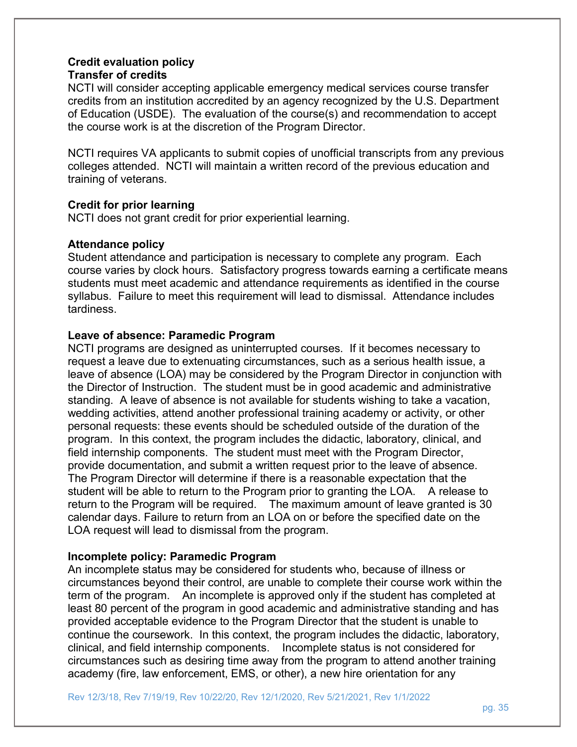#### **Credit evaluation policy Transfer of credits**

NCTI will consider accepting applicable emergency medical services course transfer credits from an institution accredited by an agency recognized by the U.S. Department of Education (USDE). The evaluation of the course(s) and recommendation to accept the course work is at the discretion of the Program Director.

NCTI requires VA applicants to submit copies of unofficial transcripts from any previous colleges attended. NCTI will maintain a written record of the previous education and training of veterans.

#### **Credit for prior learning**

NCTI does not grant credit for prior experiential learning.

#### **Attendance policy**

Student attendance and participation is necessary to complete any program. Each course varies by clock hours. Satisfactory progress towards earning a certificate means students must meet academic and attendance requirements as identified in the course syllabus. Failure to meet this requirement will lead to dismissal. Attendance includes tardiness.

#### **Leave of absence: Paramedic Program**

NCTI programs are designed as uninterrupted courses. If it becomes necessary to request a leave due to extenuating circumstances, such as a serious health issue, a leave of absence (LOA) may be considered by the Program Director in conjunction with the Director of Instruction. The student must be in good academic and administrative standing. A leave of absence is not available for students wishing to take a vacation, wedding activities, attend another professional training academy or activity, or other personal requests: these events should be scheduled outside of the duration of the program. In this context, the program includes the didactic, laboratory, clinical, and field internship components. The student must meet with the Program Director, provide documentation, and submit a written request prior to the leave of absence. The Program Director will determine if there is a reasonable expectation that the student will be able to return to the Program prior to granting the LOA. A release to return to the Program will be required. The maximum amount of leave granted is 30 calendar days. Failure to return from an LOA on or before the specified date on the LOA request will lead to dismissal from the program.

#### **Incomplete policy: Paramedic Program**

An incomplete status may be considered for students who, because of illness or circumstances beyond their control, are unable to complete their course work within the term of the program. An incomplete is approved only if the student has completed at least 80 percent of the program in good academic and administrative standing and has provided acceptable evidence to the Program Director that the student is unable to continue the coursework. In this context, the program includes the didactic, laboratory, clinical, and field internship components. Incomplete status is not considered for circumstances such as desiring time away from the program to attend another training academy (fire, law enforcement, EMS, or other), a new hire orientation for any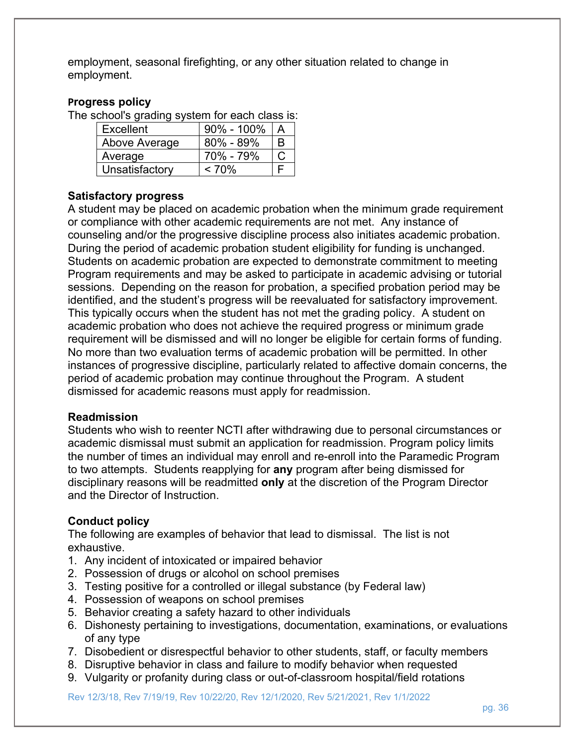employment, seasonal firefighting, or any other situation related to change in employment.

#### **Progress policy**

The school's grading system for each class is:

| Excellent      | $90\% - 100\%$ |   |
|----------------|----------------|---|
| Above Average  | 80% - 89%      | R |
| Average        | 70% - 79%      |   |
| Unsatisfactory | < 70%          |   |

#### **Satisfactory progress**

A student may be placed on academic probation when the minimum grade requirement or compliance with other academic requirements are not met. Any instance of counseling and/or the progressive discipline process also initiates academic probation. During the period of academic probation student eligibility for funding is unchanged. Students on academic probation are expected to demonstrate commitment to meeting Program requirements and may be asked to participate in academic advising or tutorial sessions. Depending on the reason for probation, a specified probation period may be identified, and the student's progress will be reevaluated for satisfactory improvement. This typically occurs when the student has not met the grading policy. A student on academic probation who does not achieve the required progress or minimum grade requirement will be dismissed and will no longer be eligible for certain forms of funding. No more than two evaluation terms of academic probation will be permitted. In other instances of progressive discipline, particularly related to affective domain concerns, the period of academic probation may continue throughout the Program. A student dismissed for academic reasons must apply for readmission.

#### **Readmission**

Students who wish to reenter NCTI after withdrawing due to personal circumstances or academic dismissal must submit an application for readmission. Program policy limits the number of times an individual may enroll and re-enroll into the Paramedic Program to two attempts. Students reapplying for **any** program after being dismissed for disciplinary reasons will be readmitted **only** at the discretion of the Program Director and the Director of Instruction.

#### **Conduct policy**

The following are examples of behavior that lead to dismissal. The list is not exhaustive.

- 1. Any incident of intoxicated or impaired behavior
- 2. Possession of drugs or alcohol on school premises
- 3. Testing positive for a controlled or illegal substance (by Federal law)
- 4. Possession of weapons on school premises
- 5. Behavior creating a safety hazard to other individuals
- 6. Dishonesty pertaining to investigations, documentation, examinations, or evaluations of any type
- 7. Disobedient or disrespectful behavior to other students, staff, or faculty members
- 8. Disruptive behavior in class and failure to modify behavior when requested
- 9. Vulgarity or profanity during class or out-of-classroom hospital/field rotations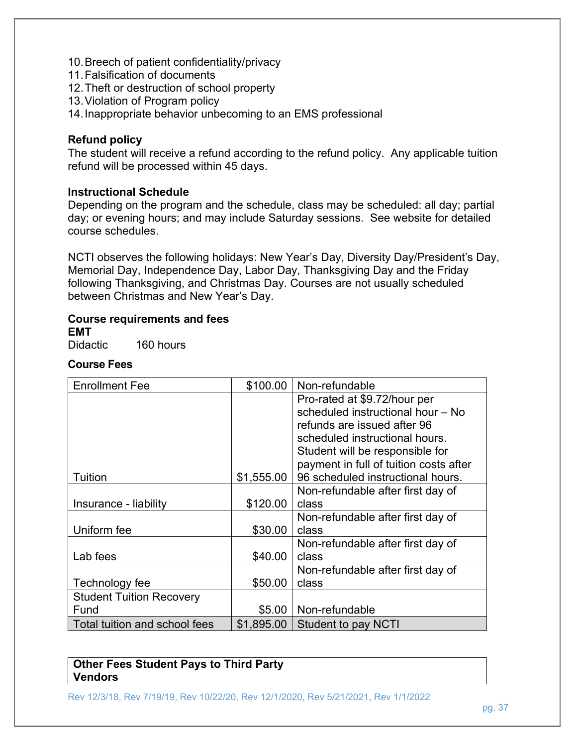- 10. Breech of patient confidentiality/privacy
- 11. Falsification of documents
- 12. Theft or destruction of school property
- 13. Violation of Program policy
- 14. Inappropriate behavior unbecoming to an EMS professional

#### **Refund policy**

The student will receive a refund according to the refund policy. Any applicable tuition refund will be processed within 45 days.

#### **Instructional Schedule**

Depending on the program and the schedule, class may be scheduled: all day; partial day; or evening hours; and may include Saturday sessions. See website for detailed course schedules.

NCTI observes the following holidays: New Year's Day, Diversity Day/President's Day, Memorial Day, Independence Day, Labor Day, Thanksgiving Day and the Friday following Thanksgiving, and Christmas Day. Courses are not usually scheduled between Christmas and New Year's Day.

# **Course requirements and fees**

**EMT** 

Didactic 160 hours

#### **Course Fees**

| <b>Enrollment Fee</b>           | \$100.00   | Non-refundable                         |
|---------------------------------|------------|----------------------------------------|
|                                 |            | Pro-rated at \$9.72/hour per           |
|                                 |            | scheduled instructional hour - No      |
|                                 |            | refunds are issued after 96            |
|                                 |            | scheduled instructional hours.         |
|                                 |            | Student will be responsible for        |
|                                 |            | payment in full of tuition costs after |
| Tuition                         | \$1,555.00 | 96 scheduled instructional hours.      |
|                                 |            | Non-refundable after first day of      |
| Insurance - liability           | \$120.00   | class                                  |
|                                 |            | Non-refundable after first day of      |
| Uniform fee                     | \$30.00    | class                                  |
|                                 |            | Non-refundable after first day of      |
| Lab fees                        | \$40.00    | class                                  |
|                                 |            | Non-refundable after first day of      |
| Technology fee                  | \$50.00    | class                                  |
| <b>Student Tuition Recovery</b> |            |                                        |
| Fund                            | $$5.00$    | Non-refundable                         |
| Total tuition and school fees   | \$1,895.00 | <b>Student to pay NCTI</b>             |

#### **Other Fees Student Pays to Third Party Vendors**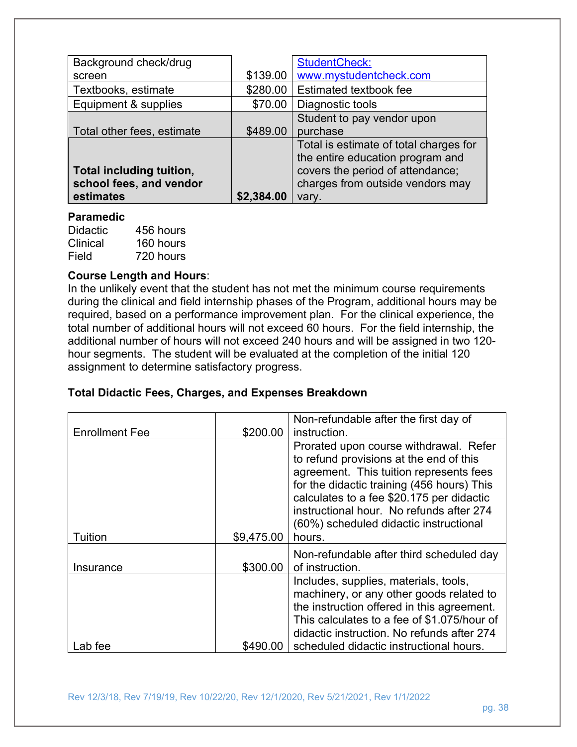| Background check/drug      |            | <b>StudentCheck:</b>                   |
|----------------------------|------------|----------------------------------------|
| screen                     | \$139.00   | www.mystudentcheck.com                 |
| Textbooks, estimate        | \$280.00   | Estimated textbook fee                 |
| Equipment & supplies       | \$70.00    | Diagnostic tools                       |
|                            |            | Student to pay vendor upon             |
| Total other fees, estimate | \$489.00   | purchase                               |
|                            |            | Total is estimate of total charges for |
|                            |            | the entire education program and       |
| Total including tuition,   |            | covers the period of attendance;       |
| school fees, and vendor    |            | charges from outside vendors may       |
| estimates                  | \$2,384.00 | vary.                                  |

#### **Paramedic**

Didactic 456 hours Clinical 160 hours Field 720 hours

## **Course Length and Hours**:

In the unlikely event that the student has not met the minimum course requirements during the clinical and field internship phases of the Program, additional hours may be required, based on a performance improvement plan. For the clinical experience, the total number of additional hours will not exceed 60 hours. For the field internship, the additional number of hours will not exceed 240 hours and will be assigned in two 120 hour segments. The student will be evaluated at the completion of the initial 120 assignment to determine satisfactory progress.

#### **Total Didactic Fees, Charges, and Expenses Breakdown**

| <b>Enrollment Fee</b> | \$200.00   | Non-refundable after the first day of<br>instruction.                                                                                                                                                                                                                                                                   |
|-----------------------|------------|-------------------------------------------------------------------------------------------------------------------------------------------------------------------------------------------------------------------------------------------------------------------------------------------------------------------------|
| Tuition               | \$9,475.00 | Prorated upon course withdrawal. Refer<br>to refund provisions at the end of this<br>agreement. This tuition represents fees<br>for the didactic training (456 hours) This<br>calculates to a fee \$20.175 per didactic<br>instructional hour. No refunds after 274<br>(60%) scheduled didactic instructional<br>hours. |
| Insurance             | \$300.00   | Non-refundable after third scheduled day<br>of instruction.                                                                                                                                                                                                                                                             |
|                       |            | Includes, supplies, materials, tools,<br>machinery, or any other goods related to<br>the instruction offered in this agreement.<br>This calculates to a fee of \$1.075/hour of<br>didactic instruction. No refunds after 274                                                                                            |
| Lab fee               | \$490.00   | scheduled didactic instructional hours.                                                                                                                                                                                                                                                                                 |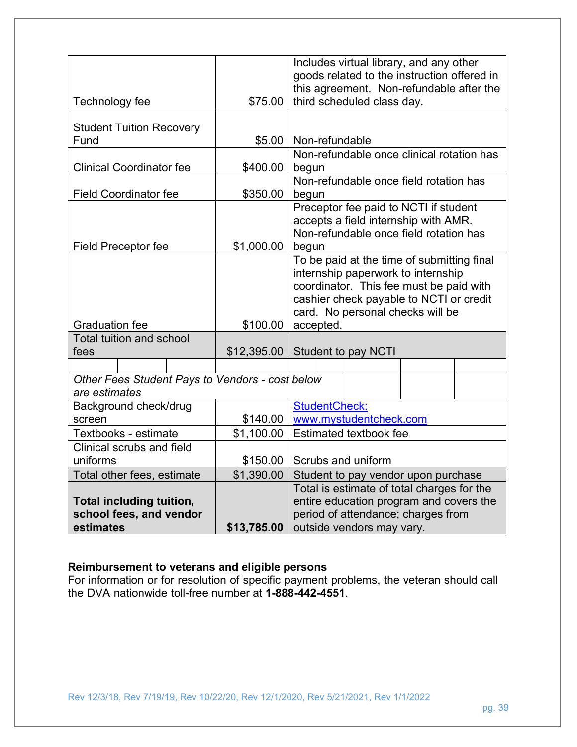|                                                                  |             | Includes virtual library, and any other             |
|------------------------------------------------------------------|-------------|-----------------------------------------------------|
|                                                                  |             | goods related to the instruction offered in         |
|                                                                  | \$75.00     | this agreement. Non-refundable after the            |
| Technology fee                                                   |             | third scheduled class day.                          |
| <b>Student Tuition Recovery</b>                                  |             |                                                     |
| Fund                                                             | \$5.00      | Non-refundable                                      |
|                                                                  |             | Non-refundable once clinical rotation has           |
| <b>Clinical Coordinator fee</b>                                  | \$400.00    | begun                                               |
|                                                                  |             | Non-refundable once field rotation has              |
| <b>Field Coordinator fee</b>                                     | \$350.00    | begun                                               |
|                                                                  |             | Preceptor fee paid to NCTI if student               |
|                                                                  |             | accepts a field internship with AMR.                |
|                                                                  | \$1,000.00  | Non-refundable once field rotation has              |
| <b>Field Preceptor fee</b>                                       |             | begun<br>To be paid at the time of submitting final |
|                                                                  |             | internship paperwork to internship                  |
|                                                                  |             | coordinator. This fee must be paid with             |
|                                                                  |             | cashier check payable to NCTI or credit             |
|                                                                  |             | card. No personal checks will be                    |
| <b>Graduation fee</b>                                            | \$100.00    | accepted.                                           |
| <b>Total tuition and school</b>                                  |             |                                                     |
| fees                                                             | \$12,395.00 | <b>Student to pay NCTI</b>                          |
|                                                                  |             |                                                     |
| Other Fees Student Pays to Vendors - cost below<br>are estimates |             |                                                     |
| Background check/drug                                            |             | StudentCheck:                                       |
| screen                                                           | \$140.00    | www.mystudentcheck.com                              |
| Textbooks - estimate                                             | \$1,100.00  | <b>Estimated textbook fee</b>                       |
| Clinical scrubs and field                                        |             |                                                     |
| uniforms                                                         | \$150.00    | Scrubs and uniform                                  |
| Total other fees, estimate                                       | \$1,390.00  | Student to pay vendor upon purchase                 |
|                                                                  |             | Total is estimate of total charges for the          |
| <b>Total including tuition,</b>                                  |             | entire education program and covers the             |
| school fees, and vendor                                          |             | period of attendance; charges from                  |
| estimates                                                        | \$13,785.00 | outside vendors may vary.                           |

#### **Reimbursement to veterans and eligible persons**

For information or for resolution of specific payment problems, the veteran should call the DVA nationwide toll-free number at **1-888-442-4551**.